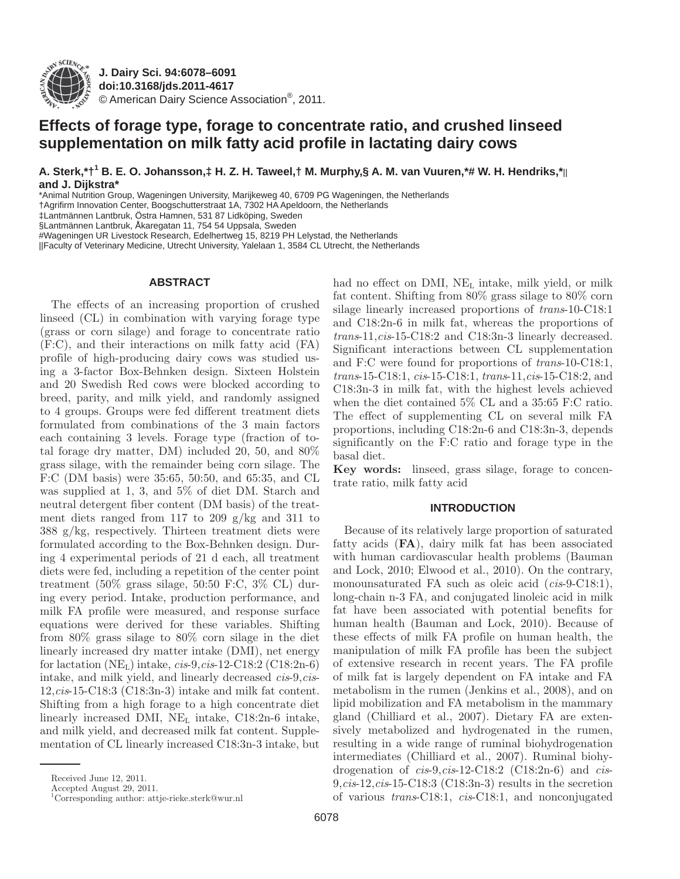

**J. Dairy Sci. 94 :6078–6091 doi: 10.3168/jds.2011-4617**  © American Dairy Science Association®, 2011 .

# **Effects of forage type, forage to concentrate ratio, and crushed linseed supplementation on milk fatty acid profile in lactating dairy cows**

 **A. Sterk ,\*†<sup>1</sup> B. E. O. Johansson ,‡ H. Z. H. Taweel ,† M. Murphy ,§ A. M. van Vuuren ,\*# W. H. Hendriks ,\***|| **and J. Dijkstra \***

\* Animal Nutrition Group, Wageningen University, Marijkeweg 40, 6709 PG Wageningen, the Netherlands

† Agrifirm Innovation Center, Boogschutterstraat 1A, 7302 HA Apeldoorn, the Netherlands

‡ Lantmännen Lantbruk, Östra Hamnen, 531 87 Lidköping, Sweden

§ Lantmännen Lantbruk, Åkaregatan 11, 754 54 Uppsala, Sweden

#Wageningen UR Livestock Research, Edelhertweg 15, 8219 PH Lelystad, the Netherlands

||Faculty of Veterinary Medicine, Utrecht University, Yalelaan 1, 3584 CL Utrecht, the Netherlands

### **ABSTRACT**

The effects of an increasing proportion of crushed linseed (CL) in combination with varying forage type (grass or corn silage) and forage to concentrate ratio (F:C), and their interactions on milk fatty acid (FA) profile of high-producing dairy cows was studied using a 3-factor Box-Behnken design. Sixteen Holstein and 20 Swedish Red cows were blocked according to breed, parity, and milk yield, and randomly assigned to 4 groups. Groups were fed different treatment diets formulated from combinations of the 3 main factors each containing 3 levels. Forage type (fraction of total forage dry matter, DM) included 20, 50, and 80% grass silage, with the remainder being corn silage. The F:C (DM basis) were 35:65, 50:50, and 65:35, and CL was supplied at 1, 3, and 5% of diet DM. Starch and neutral detergent fiber content (DM basis) of the treatment diets ranged from 117 to 209  $g/kg$  and 311 to 388 g/kg, respectively. Thirteen treatment diets were formulated according to the Box-Behnken design. During 4 experimental periods of 21 d each, all treatment diets were fed, including a repetition of the center point treatment (50% grass silage, 50:50 F:C, 3% CL) during every period. Intake, production performance, and milk FA profile were measured, and response surface equations were derived for these variables. Shifting from 80% grass silage to 80% corn silage in the diet linearly increased dry matter intake (DMI), net energy for lactation  $(NE_L)$  intake,  $cis-9, cis-12-C18:2 (C18:2n-6)$ intake, and milk yield, and linearly decreased *cis*-9,*cis*-12,*cis*-15-C18:3 (C18:3n-3) intake and milk fat content. Shifting from a high forage to a high concentrate diet linearly increased DMI,  $NE<sub>L</sub>$  intake,  $C18:2n-6$  intake, and milk yield, and decreased milk fat content. Supplementation of CL linearly increased C18:3n-3 intake, but

Accepted August 29, 2011.

had no effect on DMI,  $NE<sub>L</sub>$  intake, milk yield, or milk fat content. Shifting from 80% grass silage to 80% corn silage linearly increased proportions of *trans*-10-C18:1 and C18:2n-6 in milk fat, whereas the proportions of *trans*-11,*cis*-15-C18:2 and C18:3n-3 linearly decreased. Significant interactions between CL supplementation and F:C were found for proportions of *trans*-10-C18:1, *trans*-15-C18:1, *cis*-15-C18:1, *trans*-11,*cis*-15-C18:2, and C18:3n-3 in milk fat, with the highest levels achieved when the diet contained 5% CL and a 35:65 F:C ratio. The effect of supplementing CL on several milk FA proportions, including C18:2n-6 and C18:3n-3, depends significantly on the F:C ratio and forage type in the basal diet.

Key words: linseed, grass silage, forage to concentrate ratio, milk fatty acid

### **INTRODUCTION**

Because of its relatively large proportion of saturated fatty acids (**FA**), dairy milk fat has been associated with human cardiovascular health problems (Bauman and Lock, 2010; Elwood et al., 2010). On the contrary, monounsaturated FA such as oleic acid (*cis*-9-C18:1), long-chain n-3 FA, and conjugated linoleic acid in milk fat have been associated with potential benefits for human health (Bauman and Lock, 2010). Because of these effects of milk FA profile on human health, the manipulation of milk FA profile has been the subject of extensive research in recent years. The FA profile of milk fat is largely dependent on FA intake and FA metabolism in the rumen (Jenkins et al., 2008), and on lipid mobilization and FA metabolism in the mammary gland (Chilliard et al., 2007). Dietary FA are extensively metabolized and hydrogenated in the rumen, resulting in a wide range of ruminal biohydrogenation intermediates (Chilliard et al., 2007). Ruminal biohydrogenation of *cis*-9,*cis*-12-C18:2 (C18:2n-6) and *cis*-9,*cis*-12,*cis*-15-C18:3 (C18:3n-3) results in the secretion of various *trans*-C18:1, *cis*-C18:1, and nonconjugated

Received June 12, 2011.

 <sup>1</sup> Corresponding author: attje-rieke.sterk@wur.nl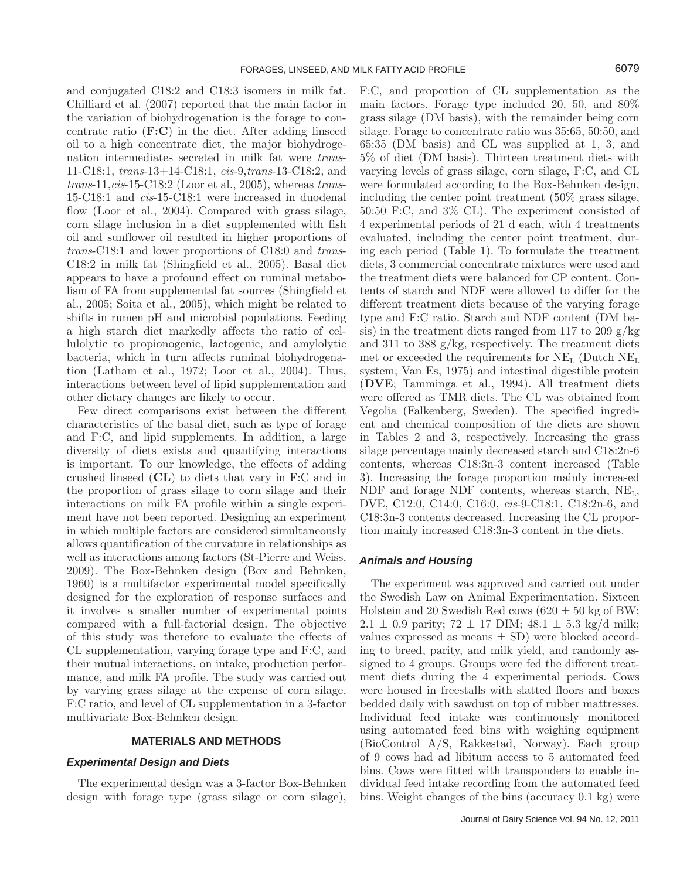and conjugated C18:2 and C18:3 isomers in milk fat. Chilliard et al. (2007) reported that the main factor in the variation of biohydrogenation is the forage to concentrate ratio (**F:C**) in the diet. After adding linseed oil to a high concentrate diet, the major biohydrogenation intermediates secreted in milk fat were *trans*-11-C18:1, *trans*-13+14-C18:1, *cis*-9,*trans*-13-C18:2, and *trans*-11,*cis*-15-C18:2 (Loor et al., 2005), whereas *trans*-15-C18:1 and *cis*-15-C18:1 were increased in duodenal flow (Loor et al., 2004). Compared with grass silage, corn silage inclusion in a diet supplemented with fish oil and sunflower oil resulted in higher proportions of *trans*-C18:1 and lower proportions of C18:0 and *trans*-C18:2 in milk fat (Shingfield et al., 2005). Basal diet appears to have a profound effect on ruminal metabolism of FA from supplemental fat sources (Shingfield et al., 2005; Soita et al., 2005), which might be related to shifts in rumen pH and microbial populations. Feeding a high starch diet markedly affects the ratio of cellulolytic to propionogenic, lactogenic, and amylolytic bacteria, which in turn affects ruminal biohydrogenation (Latham et al., 1972; Loor et al., 2004). Thus, interactions between level of lipid supplementation and other dietary changes are likely to occur.

Few direct comparisons exist between the different characteristics of the basal diet, such as type of forage and F:C, and lipid supplements. In addition, a large diversity of diets exists and quantifying interactions is important. To our knowledge, the effects of adding crushed linseed (**CL**) to diets that vary in F:C and in the proportion of grass silage to corn silage and their interactions on milk FA profile within a single experiment have not been reported. Designing an experiment in which multiple factors are considered simultaneously allows quantification of the curvature in relationships as well as interactions among factors (St-Pierre and Weiss, 2009). The Box-Behnken design (Box and Behnken, 1960) is a multifactor experimental model specifically designed for the exploration of response surfaces and it involves a smaller number of experimental points compared with a full-factorial design. The objective of this study was therefore to evaluate the effects of CL supplementation, varying forage type and F:C, and their mutual interactions, on intake, production performance, and milk FA profile. The study was carried out by varying grass silage at the expense of corn silage, F:C ratio, and level of CL supplementation in a 3-factor multivariate Box-Behnken design.

#### **MATERIALS AND METHODS**

### *Experimental Design and Diets*

The experimental design was a 3-factor Box-Behnken design with forage type (grass silage or corn silage), F:C, and proportion of CL supplementation as the main factors. Forage type included 20, 50, and 80% grass silage (DM basis), with the remainder being corn silage. Forage to concentrate ratio was 35:65, 50:50, and 65:35 (DM basis) and CL was supplied at 1, 3, and 5% of diet (DM basis). Thirteen treatment diets with varying levels of grass silage, corn silage, F:C, and CL were formulated according to the Box-Behnken design, including the center point treatment (50% grass silage, 50:50 F:C, and 3% CL). The experiment consisted of 4 experimental periods of 21 d each, with 4 treatments evaluated, including the center point treatment, during each period (Table 1). To formulate the treatment diets, 3 commercial concentrate mixtures were used and the treatment diets were balanced for CP content. Contents of starch and NDF were allowed to differ for the different treatment diets because of the varying forage type and F:C ratio. Starch and NDF content (DM basis) in the treatment diets ranged from 117 to 209  $g/kg$ and 311 to 388 g/kg, respectively. The treatment diets met or exceeded the requirements for  $NE<sub>L</sub>$  (Dutch  $NE<sub>L</sub>$ ) system; Van Es, 1975) and intestinal digestible protein (**DVE**; Tamminga et al., 1994). All treatment diets were offered as TMR diets. The CL was obtained from Vegolia (Falkenberg, Sweden). The specified ingredient and chemical composition of the diets are shown in Tables 2 and 3, respectively. Increasing the grass silage percentage mainly decreased starch and C18:2n-6 contents, whereas C18:3n-3 content increased (Table 3). Increasing the forage proportion mainly increased NDF and forage NDF contents, whereas starch, NEL, DVE, C12:0, C14:0, C16:0, *cis*-9-C18:1, C18:2n-6, and C18:3n-3 contents decreased. Increasing the CL proportion mainly increased C18:3n-3 content in the diets.

### *Animals and Housing*

The experiment was approved and carried out under the Swedish Law on Animal Experimentation. Sixteen Holstein and 20 Swedish Red cows  $(620 \pm 50 \text{ kg of BW})$ ;  $2.1 \pm 0.9$  parity;  $72 \pm 17$  DIM;  $48.1 \pm 5.3$  kg/d milk; values expressed as means  $\pm$  SD) were blocked according to breed, parity, and milk yield, and randomly assigned to 4 groups. Groups were fed the different treatment diets during the 4 experimental periods. Cows were housed in freestalls with slatted floors and boxes bedded daily with sawdust on top of rubber mattresses. Individual feed intake was continuously monitored using automated feed bins with weighing equipment (BioControl A/S, Rakkestad, Norway). Each group of 9 cows had ad libitum access to 5 automated feed bins. Cows were fitted with transponders to enable individual feed intake recording from the automated feed bins. Weight changes of the bins (accuracy 0.1 kg) were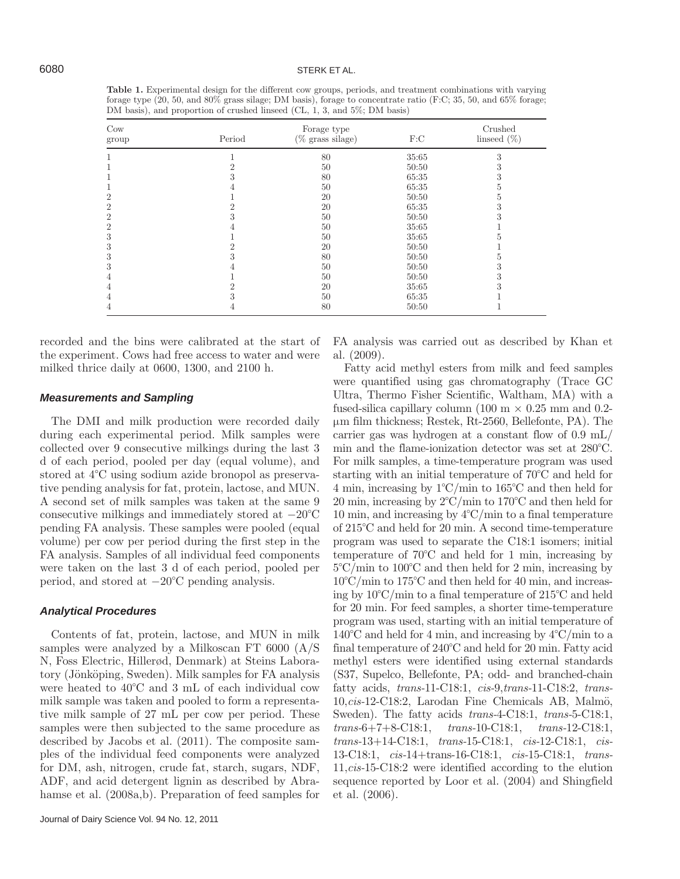**Table 1.** Experimental design for the different cow groups, periods, and treatment combinations with varying forage type (20, 50, and 80% grass silage; DM basis), forage to concentrate ratio (F:C; 35, 50, and 65% forage; DM basis), and proportion of crushed linseed (CL, 1, 3, and 5%; DM basis)

| $_{\text{Cow}}$<br>group | Period | Forage type<br>$(\%$ grass silage) | F:C   | Crushed<br>linseed $(\%)$ |
|--------------------------|--------|------------------------------------|-------|---------------------------|
|                          |        | 80                                 | 35:65 | 3                         |
|                          |        | 50                                 | 50:50 | -5                        |
|                          |        | 80                                 | 65:35 |                           |
|                          |        | 50                                 | 65:35 |                           |
| $\overline{2}$           |        | 20                                 | 50:50 | h                         |
| $\overline{2}$           |        | 20                                 | 65:35 | 3                         |
| $\overline{2}$           |        | 50                                 | 50:50 | 3                         |
| $\overline{2}$           |        | 50                                 | 35:65 |                           |
| 3                        |        | 50                                 | 35:65 |                           |
| 3                        |        | 20                                 | 50:50 |                           |
| 3                        |        | 80                                 | 50:50 | Ð                         |
| 3                        |        | 50                                 | 50:50 | Ő                         |
| 4                        |        | 50                                 | 50:50 | 5                         |
| 4                        |        | 20                                 | 35:65 |                           |
| 4                        |        | 50                                 | 65:35 |                           |
| 4                        | 4      | 80                                 | 50:50 |                           |

recorded and the bins were calibrated at the start of the experiment. Cows had free access to water and were milked thrice daily at 0600, 1300, and 2100 h.

#### *Measurements and Sampling*

The DMI and milk production were recorded daily during each experimental period. Milk samples were collected over 9 consecutive milkings during the last 3 d of each period, pooled per day (equal volume), and stored at 4°C using sodium azide bronopol as preservative pending analysis for fat, protein, lactose, and MUN. A second set of milk samples was taken at the same 9 consecutive milkings and immediately stored at −20°C pending FA analysis. These samples were pooled (equal volume) per cow per period during the first step in the FA analysis. Samples of all individual feed components were taken on the last 3 d of each period, pooled per period, and stored at −20°C pending analysis.

#### *Analytical Procedures*

Contents of fat, protein, lactose, and MUN in milk samples were analyzed by a Milkoscan FT 6000 (A/S N, Foss Electric, Hillerød, Denmark) at Steins Laboratory (Jönköping, Sweden). Milk samples for FA analysis were heated to 40°C and 3 mL of each individual cow milk sample was taken and pooled to form a representative milk sample of 27 mL per cow per period. These samples were then subjected to the same procedure as described by Jacobs et al. (2011). The composite samples of the individual feed components were analyzed for DM, ash, nitrogen, crude fat, starch, sugars, NDF, ADF, and acid detergent lignin as described by Abrahamse et al. (2008a,b). Preparation of feed samples for FA analysis was carried out as described by Khan et al. (2009).

Fatty acid methyl esters from milk and feed samples were quantified using gas chromatography (Trace GC Ultra, Thermo Fisher Scientific, Waltham, MA) with a fused-silica capillary column (100 m  $\times$  0.25 mm and 0.2μm film thickness; Restek, Rt-2560, Bellefonte, PA). The carrier gas was hydrogen at a constant flow of 0.9 mL/ min and the flame-ionization detector was set at 280°C. For milk samples, a time-temperature program was used starting with an initial temperature of 70°C and held for 4 min, increasing by 1°C/min to 165°C and then held for 20 min, increasing by 2°C/min to 170°C and then held for 10 min, and increasing by 4°C/min to a final temperature of 215°C and held for 20 min. A second time-temperature program was used to separate the C18:1 isomers; initial temperature of 70°C and held for 1 min, increasing by 5°C/min to 100°C and then held for 2 min, increasing by 10°C/min to 175°C and then held for 40 min, and increasing by 10°C/min to a final temperature of 215°C and held for 20 min. For feed samples, a shorter time-temperature program was used, starting with an initial temperature of 140°C and held for 4 min, and increasing by 4°C/min to a final temperature of 240°C and held for 20 min. Fatty acid methyl esters were identified using external standards (S37, Supelco, Bellefonte, PA; odd- and branched-chain fatty acids, *trans-*11-C18:1, *cis-*9,*trans-*11-C18:2, *trans-*10,*cis-*12-C18:2, Larodan Fine Chemicals AB, Malmö, Sweden). The fatty acids *trans-*4-C18:1, *trans-*5-C18:1, *trans-*6+7+8-C18:1, *trans-*10-C18:1, *trans-*12-C18:1, *trans-*13+14-C18:1, *trans-*15-C18:1, *cis-*12-C18:1, *cis-*13-C18:1, *cis-*14+trans-16-C18:1, *cis-*15-C18:1, *trans-*11,*cis-*15-C18:2 were identified according to the elution sequence reported by Loor et al. (2004) and Shingfield et al. (2006).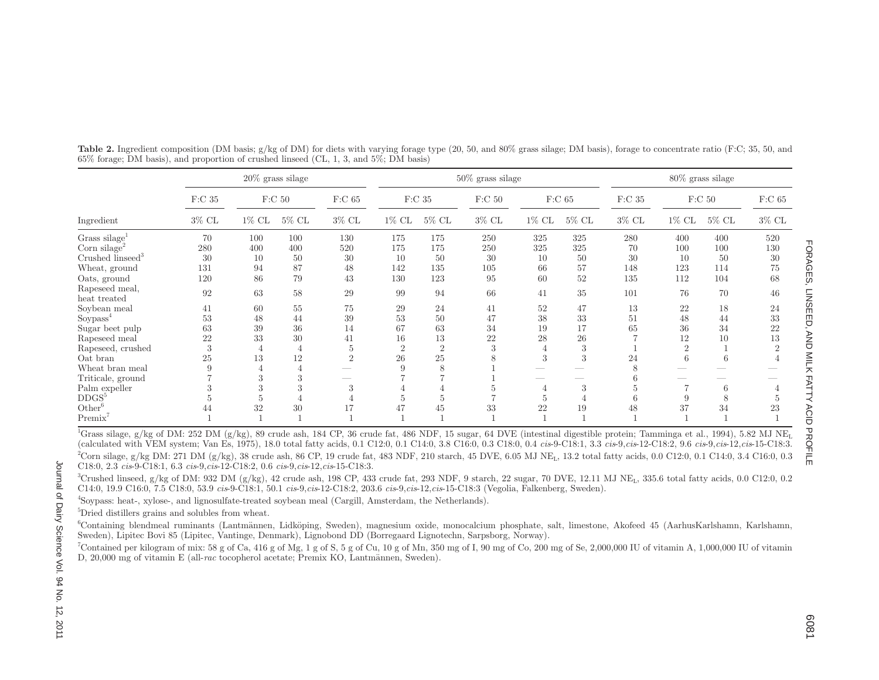|                                             |                   |          | $20\%$ grass silage |                          |          |                   | $50\%$ grass silage |                |          | $80\%$ grass silage |          |                   |          |  |
|---------------------------------------------|-------------------|----------|---------------------|--------------------------|----------|-------------------|---------------------|----------------|----------|---------------------|----------|-------------------|----------|--|
|                                             | F:C <sub>35</sub> |          | F:C <sub>50</sub>   | $F:C$ 65                 |          | F:C <sub>35</sub> | F:C <sub>50</sub>   |                | $F:C$ 65 | F:C <sub>35</sub>   |          | F:C <sub>50</sub> | $F:C$ 65 |  |
| Ingredient                                  | $3\%$ CL          | $1\%$ CL | $5\%$ CL            | $3\%$ CL                 | $1\%$ CL | $5\%$ CL          | $3\%$ CL            | $1\%$ CL       | $5\%$ CL | $3\%$ CL            | $1\%$ CL | $5\%$ CL          | $3\%$ CL |  |
| Grass silage <sup>1</sup>                   | 70                | 100      | 100                 | 130                      | 175      | 175               | 250                 | 325            | 325      | 280                 | 400      | 400               | 520      |  |
| Corn silage <sup>2</sup>                    | 280               | 400      | 400                 | 520                      | 175      | 175               | 250                 | 325            | 325      | 70                  | 100      | 100               | 130      |  |
| Crushed $\widetilde{I}$ inseed <sup>3</sup> | 30                | 10       | 50                  | 30                       | 10       | 50                | 30                  | 10             | 50       | 30                  | 10       | 50                | 30       |  |
| Wheat, ground                               | 131               | 94       | 87                  | 48                       | 142      | 135               | 105                 | 66             | 57       | 148                 | 123      | 114               | 75       |  |
| Oats, ground                                | 120               | 86       | 79                  | 43                       | 130      | 123               | 95                  | 60             | 52       | 135                 | 112      | 104               | 68       |  |
| Rapeseed meal,<br>heat treated              | 92                | 63       | 58                  | 29                       | 99       | 94                | 66                  | 41             | 35       | 101                 | 76       | 70                | 46       |  |
| Soybean meal                                | 41                | 60       | 55                  | 75                       | 29       | 24                | 41                  | 52             | 47       | 13                  | 22       | 18                | 24       |  |
| $\operatorname{Soypass}^4$                  | 53                | 48       | 44                  | 39                       | 53       | 50                | 47                  | 38             | 33       | 51                  | 48       | 44                | 33       |  |
| Sugar beet pulp                             | 63                | 39       | 36                  | 14                       | 67       | 63                | 34                  | 19             | 17       | 65                  | 36       | 34                | 22       |  |
| Rapeseed meal                               | 22                | 33       | 30                  | 41                       | 16       | 13                | 22                  | 28             | 26       |                     | 12       | 10                | 13       |  |
| Rapeseed, crushed                           | 3                 |          | $\overline{4}$      | $\overline{5}$           | $\Omega$ | $\overline{2}$    | 3                   |                | 3        |                     | $\Omega$ |                   | $\Omega$ |  |
| Oat bran                                    | 25                | 13       | 12                  | $\sqrt{2}$               | 26       | 25                |                     | 3              | 3        | 24                  | 6        | 6                 |          |  |
| Wheat bran meal                             |                   |          |                     |                          | 9        | 8                 |                     |                |          |                     |          |                   |          |  |
| Triticale, ground                           |                   | 3        | 3                   | $\overline{\phantom{a}}$ |          |                   |                     |                |          |                     |          |                   |          |  |
| Palm expeller                               |                   | 3        | 3                   | 3                        |          |                   |                     | 4              | 3        | h                   |          | 6                 |          |  |
| DDGS <sup>5</sup>                           |                   |          |                     | 4                        |          | 5                 |                     | $\mathfrak{b}$ |          |                     |          | 8                 | h.       |  |
| Other <sup>6</sup>                          | 44                | 32       | 30                  | 17                       | 47       | 45                | 33                  | 22             | 19       | 48                  | 37       | 34                | 23       |  |
| $Premix^7$                                  |                   |          |                     |                          |          |                   |                     |                |          |                     |          |                   |          |  |

**Table 2.** Ingredient composition (DM basis; g/kg of DM) for diets with varying forage type (20, 50, and 80% grass silage; DM basis), forage to concentrate ratio (F:C; 35, 50, and 65% forage; DM basis), and proportion of crushed linseed (CL, 1, 3, and 5%; DM basis)

<sup>1</sup>Grass silage, g/kg of DM: 252 DM (g/kg), 89 crude ash, 184 CP, 36 crude fat, 486 NDF, 15 sugar, 64 DVE (intestinal digestible protein; Tamminga et al., 1994), 5.82 MJ NE<sub>I</sub> (calculated with VEM system; Van Es, 1975), 18.0 total fatty acids, 0.1 C12:0, 0.1 C14:0, 3.8 C16:0, 0.3 C18:0, 0.4 cis-9-C18:1, 3.3 cis-9,cis-12-C18:2, 9.6 cis-9,cis-12,cis-15-C18:3. <sup>2</sup>Corn silage, g/kg DM: 271 DM (g/kg), 38 crude ash, 86 CP, 19 crude fat, 483 NDF, 210 starch, 45 DVE, 6.05 MJ NE<sub>L</sub>, 13.2 total fatty acids, 0.0 C12:0, 0.1 C14:0, 3.4 C16:0, 0.3 C18:0, 2.3 *cis*-9-C18:1, 6.3 *cis*-9,*cis*-12-C18:2, 0.6 *cis*-9,*cis*-12,*cis*-15-C18:3.

 $3Crushed linesed, g/kg$  of DM: 932 DM (g/kg), 42 crude ash, 198 CP, 433 crude fat, 293 NDF, 9 starch, 22 sugar, 70 DVE, 12.11 MJ NE<sub>L</sub>, 335.6 total fatty acids, 0.0 C12:0, 0.2 C14:0, 19.9 C16:0, 7.5 C18:0, 53.9 *cis*-9-C18:1, 50.1 *cis*-9,*cis*-12-C18:2, 203.6 *cis*-9,*cis*-12,*cis*-15-C18:3 (Vegolia, Falkenberg, Sweden).

4Soypass: heat-, xylose-, and lignosulfate-treated soybean meal (Cargill, Amsterdam, the Netherlands).

5Dried distillers grains and solubles from wheat.

6Containing blendmeal ruminants (Lantmännen, Lidköping, Sweden), magnesium oxide, monocalcium phosphate, salt, limestone, Akofeed 45 (AarhusKarlshamn, Karlshamn, Sweden), Lipitec Bovi 85 (Lipitec, Vantinge, Denmark), Lignobond DD (Borregaard Lignotechn, Sarpsborg, Norway).

<sup>7</sup>Contained per kilogram of mix: 58 g of Ca, 416 g of Mg, 1 g of S, 5 g of Cu, 10 g of Mn, 350 mg of I, 90 mg of Co, 200 mg of Se, 2,000,000 IU of vitamin A, 1,000,000 IU of vitamin D, 20,000 mg of vitamin E (all-*rac* tocopherol acetate; Premix KO, Lantmännen, Sweden).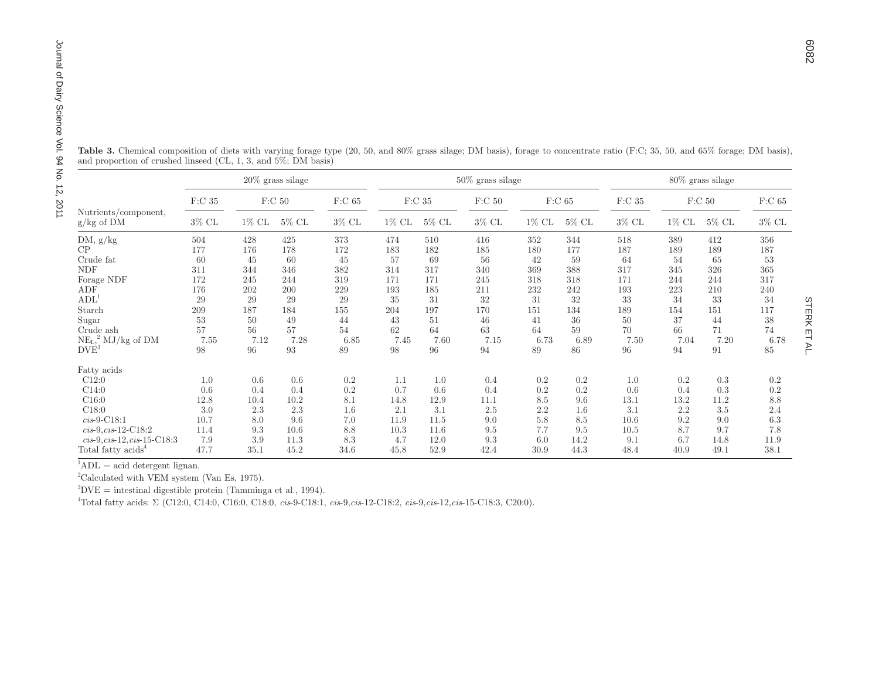| Journal of Dairy Science<br>Vol. 94 No. 12,<br>Table 3. Chemical composition of diets with varying forage type (20, 50, and 80% grass silage; DM basis), forage to concentrate ratio (F:C; 35, 50, and 65% forage; DM basis).<br>and proportion of crushed linseed (CL, 1, 3, and $5\%$ ; DM basis)<br>$50\%$ grass silage<br>$20\%$ grass silage<br>$80\%$ grass silage<br>$\rm F:C$ 35<br>F: C 50<br>$\rm F: C$ 65<br>$\rm F:C$ 35<br>$F:C$ 65<br>$\rm F:C$ 35<br>$\rm F: C$ 50<br>F:C <sub>50</sub><br>2011<br>Nutrients/component,<br>$3\%$ CL<br>$5\%$ CL<br>$3\%$ CL<br>$5\%$ CL<br>$3\%$ CL<br>$5\%$ CL<br>$3\%$ CL<br>$1\%$ CL<br>$5\%$ CL<br>$1\%$ CL<br>1% CL<br>1% CL<br>$g/kg$ of DM<br>DM, $g/kg$<br>428<br>425<br>373<br>416<br>344<br>518<br>389<br>412<br>504<br>474<br>510<br>352<br>CP<br>172<br>182<br>177<br>176<br>178<br>183<br>185<br>180<br>177<br>187<br>189<br>189<br>Crude fat<br>60<br>60<br>45<br>57<br>69<br>56<br>42<br>59<br>64<br>45<br>54<br>65<br><b>NDF</b><br>311<br>346<br>382<br>314<br>317<br>340<br>369<br>388<br>317<br>344<br>345<br>326<br>Forage NDF<br>172<br>245<br>244<br>319<br>171<br>171<br>245<br>318<br>171<br>244<br>318<br>244<br>ADF<br>176<br>202<br>200<br>229<br>185<br>232<br>242<br>193<br>223<br>210<br>193<br>211<br>ADL <sup>1</sup><br>31<br>32<br>32<br>29<br>29<br>29<br>29<br>35<br>31<br>33<br>34<br>33<br>197<br>Starch<br>209<br>187<br>184<br>155<br>204<br>170<br>151<br>134<br>189<br>154<br>151<br>44<br>43<br>37<br>Sugar<br>53<br>50<br>49<br>51<br>46<br>41<br>36<br>50<br>44<br>57<br>57<br>Crude ash<br>56<br>62<br>64<br>63<br>70<br>54<br>64<br>59<br>66<br>71<br>$NE_{L_2}^2$ MJ/kg of DM<br>7.20<br>7.55<br>7.12<br>7.28<br>6.85<br>7.45<br>7.15<br>6.73<br>6.89<br>7.50<br>7.04<br>7.60<br>$DV\widetilde{E}^3$<br>$98\,$<br>$\boldsymbol{93}$<br>98<br>96<br>94<br>89<br>86<br>94<br>$\rm 91$<br>96<br>89<br>96<br>Fatty acids<br>C12:0<br>0.6<br>0.6<br>0.2<br>0.2<br>0.2<br>0.2<br>0.3<br>1.0<br>1.1<br>1.0<br>0.4<br>1.0<br>$\rm 0.2$<br>$0.2\,$<br>0.2<br>C14:0<br>0.6<br>0.4<br>0.7<br>0.6<br>0.4<br>0.6<br>0.4<br>0.3<br>0.4<br>8.1<br>8.5<br>C16:0<br>12.8<br>10.2<br>12.9<br>13.1<br>13.2<br>11.2<br>10.4<br>14.8<br>11.1<br>9.6<br>$2.2\,$<br>C18:0<br>2.3<br>2.2<br>3.0<br>2.3<br>1.6<br>2.1<br>3.1<br>2.5<br>3.1<br>3.5<br>1.6<br>$cis-9-C18:1$<br>$9.2\,$<br>10.7<br>8.0<br>9.6<br>7.0<br>11.9<br>11.5<br>9.0<br>5.8<br>8.5<br>10.6<br>9.0<br>7.7<br>8.7<br>9.7<br>$cis-9, cis-12-C18:2$<br>11.4<br>9.3<br>10.6<br>8.8<br>10.3<br>11.6<br>9.5<br>9.5<br>10.5 |              |
|---------------------------------------------------------------------------------------------------------------------------------------------------------------------------------------------------------------------------------------------------------------------------------------------------------------------------------------------------------------------------------------------------------------------------------------------------------------------------------------------------------------------------------------------------------------------------------------------------------------------------------------------------------------------------------------------------------------------------------------------------------------------------------------------------------------------------------------------------------------------------------------------------------------------------------------------------------------------------------------------------------------------------------------------------------------------------------------------------------------------------------------------------------------------------------------------------------------------------------------------------------------------------------------------------------------------------------------------------------------------------------------------------------------------------------------------------------------------------------------------------------------------------------------------------------------------------------------------------------------------------------------------------------------------------------------------------------------------------------------------------------------------------------------------------------------------------------------------------------------------------------------------------------------------------------------------------------------------------------------------------------------------------------------------------------------------------------------------------------------------------------------------------------------------------------------------------------------------------------------------------------------------------------------------------------------------------------------------------------------------------------------------------------------------------------------------------------------------------------------------------------------------------------------------------------------|--------------|
|                                                                                                                                                                                                                                                                                                                                                                                                                                                                                                                                                                                                                                                                                                                                                                                                                                                                                                                                                                                                                                                                                                                                                                                                                                                                                                                                                                                                                                                                                                                                                                                                                                                                                                                                                                                                                                                                                                                                                                                                                                                                                                                                                                                                                                                                                                                                                                                                                                                                                                                                                               |              |
|                                                                                                                                                                                                                                                                                                                                                                                                                                                                                                                                                                                                                                                                                                                                                                                                                                                                                                                                                                                                                                                                                                                                                                                                                                                                                                                                                                                                                                                                                                                                                                                                                                                                                                                                                                                                                                                                                                                                                                                                                                                                                                                                                                                                                                                                                                                                                                                                                                                                                                                                                               |              |
|                                                                                                                                                                                                                                                                                                                                                                                                                                                                                                                                                                                                                                                                                                                                                                                                                                                                                                                                                                                                                                                                                                                                                                                                                                                                                                                                                                                                                                                                                                                                                                                                                                                                                                                                                                                                                                                                                                                                                                                                                                                                                                                                                                                                                                                                                                                                                                                                                                                                                                                                                               | $\rm F:C$ 65 |
|                                                                                                                                                                                                                                                                                                                                                                                                                                                                                                                                                                                                                                                                                                                                                                                                                                                                                                                                                                                                                                                                                                                                                                                                                                                                                                                                                                                                                                                                                                                                                                                                                                                                                                                                                                                                                                                                                                                                                                                                                                                                                                                                                                                                                                                                                                                                                                                                                                                                                                                                                               | $3\%$ CL     |
|                                                                                                                                                                                                                                                                                                                                                                                                                                                                                                                                                                                                                                                                                                                                                                                                                                                                                                                                                                                                                                                                                                                                                                                                                                                                                                                                                                                                                                                                                                                                                                                                                                                                                                                                                                                                                                                                                                                                                                                                                                                                                                                                                                                                                                                                                                                                                                                                                                                                                                                                                               | 356<br>187   |
|                                                                                                                                                                                                                                                                                                                                                                                                                                                                                                                                                                                                                                                                                                                                                                                                                                                                                                                                                                                                                                                                                                                                                                                                                                                                                                                                                                                                                                                                                                                                                                                                                                                                                                                                                                                                                                                                                                                                                                                                                                                                                                                                                                                                                                                                                                                                                                                                                                                                                                                                                               | 53           |
|                                                                                                                                                                                                                                                                                                                                                                                                                                                                                                                                                                                                                                                                                                                                                                                                                                                                                                                                                                                                                                                                                                                                                                                                                                                                                                                                                                                                                                                                                                                                                                                                                                                                                                                                                                                                                                                                                                                                                                                                                                                                                                                                                                                                                                                                                                                                                                                                                                                                                                                                                               | 365          |
|                                                                                                                                                                                                                                                                                                                                                                                                                                                                                                                                                                                                                                                                                                                                                                                                                                                                                                                                                                                                                                                                                                                                                                                                                                                                                                                                                                                                                                                                                                                                                                                                                                                                                                                                                                                                                                                                                                                                                                                                                                                                                                                                                                                                                                                                                                                                                                                                                                                                                                                                                               | 317          |
|                                                                                                                                                                                                                                                                                                                                                                                                                                                                                                                                                                                                                                                                                                                                                                                                                                                                                                                                                                                                                                                                                                                                                                                                                                                                                                                                                                                                                                                                                                                                                                                                                                                                                                                                                                                                                                                                                                                                                                                                                                                                                                                                                                                                                                                                                                                                                                                                                                                                                                                                                               | 240          |
|                                                                                                                                                                                                                                                                                                                                                                                                                                                                                                                                                                                                                                                                                                                                                                                                                                                                                                                                                                                                                                                                                                                                                                                                                                                                                                                                                                                                                                                                                                                                                                                                                                                                                                                                                                                                                                                                                                                                                                                                                                                                                                                                                                                                                                                                                                                                                                                                                                                                                                                                                               | 34           |
|                                                                                                                                                                                                                                                                                                                                                                                                                                                                                                                                                                                                                                                                                                                                                                                                                                                                                                                                                                                                                                                                                                                                                                                                                                                                                                                                                                                                                                                                                                                                                                                                                                                                                                                                                                                                                                                                                                                                                                                                                                                                                                                                                                                                                                                                                                                                                                                                                                                                                                                                                               | 117          |
|                                                                                                                                                                                                                                                                                                                                                                                                                                                                                                                                                                                                                                                                                                                                                                                                                                                                                                                                                                                                                                                                                                                                                                                                                                                                                                                                                                                                                                                                                                                                                                                                                                                                                                                                                                                                                                                                                                                                                                                                                                                                                                                                                                                                                                                                                                                                                                                                                                                                                                                                                               | $38\,$       |
|                                                                                                                                                                                                                                                                                                                                                                                                                                                                                                                                                                                                                                                                                                                                                                                                                                                                                                                                                                                                                                                                                                                                                                                                                                                                                                                                                                                                                                                                                                                                                                                                                                                                                                                                                                                                                                                                                                                                                                                                                                                                                                                                                                                                                                                                                                                                                                                                                                                                                                                                                               | 74           |
|                                                                                                                                                                                                                                                                                                                                                                                                                                                                                                                                                                                                                                                                                                                                                                                                                                                                                                                                                                                                                                                                                                                                                                                                                                                                                                                                                                                                                                                                                                                                                                                                                                                                                                                                                                                                                                                                                                                                                                                                                                                                                                                                                                                                                                                                                                                                                                                                                                                                                                                                                               | 6.78<br>85   |
|                                                                                                                                                                                                                                                                                                                                                                                                                                                                                                                                                                                                                                                                                                                                                                                                                                                                                                                                                                                                                                                                                                                                                                                                                                                                                                                                                                                                                                                                                                                                                                                                                                                                                                                                                                                                                                                                                                                                                                                                                                                                                                                                                                                                                                                                                                                                                                                                                                                                                                                                                               |              |
|                                                                                                                                                                                                                                                                                                                                                                                                                                                                                                                                                                                                                                                                                                                                                                                                                                                                                                                                                                                                                                                                                                                                                                                                                                                                                                                                                                                                                                                                                                                                                                                                                                                                                                                                                                                                                                                                                                                                                                                                                                                                                                                                                                                                                                                                                                                                                                                                                                                                                                                                                               | 0.2          |
|                                                                                                                                                                                                                                                                                                                                                                                                                                                                                                                                                                                                                                                                                                                                                                                                                                                                                                                                                                                                                                                                                                                                                                                                                                                                                                                                                                                                                                                                                                                                                                                                                                                                                                                                                                                                                                                                                                                                                                                                                                                                                                                                                                                                                                                                                                                                                                                                                                                                                                                                                               | $\rm 0.2$    |
|                                                                                                                                                                                                                                                                                                                                                                                                                                                                                                                                                                                                                                                                                                                                                                                                                                                                                                                                                                                                                                                                                                                                                                                                                                                                                                                                                                                                                                                                                                                                                                                                                                                                                                                                                                                                                                                                                                                                                                                                                                                                                                                                                                                                                                                                                                                                                                                                                                                                                                                                                               | 8.8          |
|                                                                                                                                                                                                                                                                                                                                                                                                                                                                                                                                                                                                                                                                                                                                                                                                                                                                                                                                                                                                                                                                                                                                                                                                                                                                                                                                                                                                                                                                                                                                                                                                                                                                                                                                                                                                                                                                                                                                                                                                                                                                                                                                                                                                                                                                                                                                                                                                                                                                                                                                                               | 2.4          |
|                                                                                                                                                                                                                                                                                                                                                                                                                                                                                                                                                                                                                                                                                                                                                                                                                                                                                                                                                                                                                                                                                                                                                                                                                                                                                                                                                                                                                                                                                                                                                                                                                                                                                                                                                                                                                                                                                                                                                                                                                                                                                                                                                                                                                                                                                                                                                                                                                                                                                                                                                               | 6.3          |
|                                                                                                                                                                                                                                                                                                                                                                                                                                                                                                                                                                                                                                                                                                                                                                                                                                                                                                                                                                                                                                                                                                                                                                                                                                                                                                                                                                                                                                                                                                                                                                                                                                                                                                                                                                                                                                                                                                                                                                                                                                                                                                                                                                                                                                                                                                                                                                                                                                                                                                                                                               | 7.8          |
| 9.3<br>14.2<br>$cis-9, cis-12, cis-15-C18:3$<br>7.9<br>3.9<br>11.3<br>8.3<br>4.7<br>12.0<br>6.0<br>9.1<br>6.7<br>14.8<br>47.7<br>44.3<br>Total fatty acids <sup>4</sup><br>35.1<br>45.2<br>34.6<br>52.9<br>42.4<br>30.9<br>48.4<br>40.9<br>49.1<br>45.8                                                                                                                                                                                                                                                                                                                                                                                                                                                                                                                                                                                                                                                                                                                                                                                                                                                                                                                                                                                                                                                                                                                                                                                                                                                                                                                                                                                                                                                                                                                                                                                                                                                                                                                                                                                                                                                                                                                                                                                                                                                                                                                                                                                                                                                                                                       | 11.9<br>38.1 |

 $1_{\text{ADL}} = \text{acid}$    
 

<sup>2</sup>Calculated with VEM system (Van Es, 1975).

 ${}^{3}DVE$  = intestinal digestible protein (Tamminga et al., 1994).

4Total fatty acids: Σ (C12:0, C14:0, C16:0, C18:0, *cis*-9-C18:1, *cis*-9,*cis*-12-C18:2, *cis*-9,*cis*-12,*cis*-15-C18:3, C20:0).

**STERK ET AL** STERK ET AL.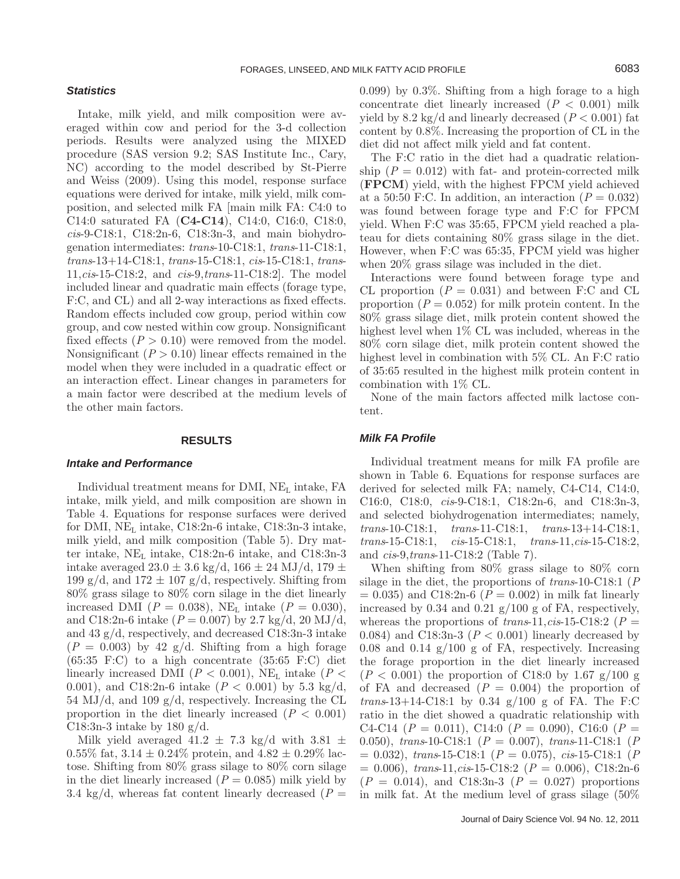### FORAGES, LINSEED, AND MILK FATTY ACID PROFILE **FOR ALL ASSAULTS** 6083

#### *Statistics*

Intake, milk yield, and milk composition were averaged within cow and period for the 3-d collection periods. Results were analyzed using the MIXED procedure (SAS version 9.2; SAS Institute Inc., Cary, NC) according to the model described by St-Pierre and Weiss (2009). Using this model, response surface equations were derived for intake, milk yield, milk composition, and selected milk FA [main milk FA: C4:0 to C14:0 saturated FA (**C4-C14**), C14:0, C16:0, C18:0, *cis*-9-C18:1, C18:2n-6, C18:3n-3, and main biohydrogenation intermediates: *trans*-10-C18:1, *trans*-11-C18:1, *trans*-13+14-C18:1, *trans*-15-C18:1, *cis*-15-C18:1, *trans*-11,*cis*-15-C18:2, and *cis*-9,*trans*-11-C18:2]. The model included linear and quadratic main effects (forage type, F:C, and CL) and all 2-way interactions as fixed effects. Random effects included cow group, period within cow group, and cow nested within cow group. Nonsignificant fixed effects  $(P > 0.10)$  were removed from the model. Nonsignificant  $(P > 0.10)$  linear effects remained in the model when they were included in a quadratic effect or an interaction effect. Linear changes in parameters for a main factor were described at the medium levels of the other main factors.

### **RESULTS**

### *Intake and Performance*

Individual treatment means for DMI, NEL intake, FA intake, milk yield, and milk composition are shown in Table 4. Equations for response surfaces were derived for DMI,  $NE<sub>L</sub>$  intake, C18:2n-6 intake, C18:3n-3 intake, milk yield, and milk composition (Table 5). Dry matter intake, NEL intake, C18:2n-6 intake, and C18:3n-3 intake averaged  $23.0 \pm 3.6$  kg/d,  $166 \pm 24$  MJ/d,  $179 \pm$ 199 g/d, and  $172 \pm 107$  g/d, respectively. Shifting from 80% grass silage to 80% corn silage in the diet linearly increased DMI ( $P = 0.038$ ), NE<sub>L</sub> intake ( $P = 0.030$ ), and C18:2n-6 intake ( $P = 0.007$ ) by 2.7 kg/d, 20 MJ/d, and 43 g/d, respectively, and decreased C18:3n-3 intake  $(P = 0.003)$  by 42 g/d. Shifting from a high forage  $(65:35 \text{ F:C})$  to a high concentrate  $(35:65 \text{ F:C})$  diet linearly increased DMI ( $P < 0.001$ ), NE<sub>L</sub> intake ( $P <$ 0.001), and C18:2n-6 intake (*P* < 0.001) by 5.3 kg/d, 54 MJ/d, and 109  $g/d$ , respectively. Increasing the CL proportion in the diet linearly increased  $(P < 0.001)$ C18:3n-3 intake by 180 g/d.

Milk yield averaged  $41.2 \pm 7.3$  kg/d with  $3.81 \pm$ 0.55% fat,  $3.14 \pm 0.24$ % protein, and  $4.82 \pm 0.29$ % lactose. Shifting from 80% grass silage to 80% corn silage in the diet linearly increased  $(P = 0.085)$  milk yield by 3.4 kg/d, whereas fat content linearly decreased  $(P =$  0.099) by 0.3%. Shifting from a high forage to a high concentrate diet linearly increased  $(P < 0.001)$  milk yield by  $8.2 \text{ kg/d}$  and linearly decreased ( $P < 0.001$ ) fat content by 0.8%. Increasing the proportion of CL in the diet did not affect milk yield and fat content.

The F:C ratio in the diet had a quadratic relationship  $(P = 0.012)$  with fat- and protein-corrected milk (**FPCM**) yield, with the highest FPCM yield achieved at a 50:50 F:C. In addition, an interaction  $(P = 0.032)$ was found between forage type and F:C for FPCM yield. When F:C was 35:65, FPCM yield reached a plateau for diets containing 80% grass silage in the diet. However, when F:C was 65:35, FPCM yield was higher when 20% grass silage was included in the diet.

Interactions were found between forage type and CL proportion  $(P = 0.031)$  and between F:C and CL proportion  $(P = 0.052)$  for milk protein content. In the 80% grass silage diet, milk protein content showed the highest level when 1% CL was included, whereas in the 80% corn silage diet, milk protein content showed the highest level in combination with 5% CL. An F:C ratio of 35:65 resulted in the highest milk protein content in combination with 1% CL.

None of the main factors affected milk lactose content.

### *Milk FA Profile*

Individual treatment means for milk FA profile are shown in Table 6. Equations for response surfaces are derived for selected milk FA; namely, C4-C14, C14:0, C16:0, C18:0, *cis*-9-C18:1, C18:2n-6, and C18:3n-3, and selected biohydrogenation intermediates; namely, *trans*-10-C18:1, *trans*-11-C18:1, *trans*-13+14-C18:1, *trans*-15-C18:1, *cis*-15-C18:1, *trans*-11,*cis*-15-C18:2, and *cis*-9,*trans*-11-C18:2 (Table 7).

When shifting from 80% grass silage to 80% corn silage in the diet, the proportions of *trans*-10-C18:1 (*P*  $= 0.035$ ) and C18:2n-6 ( $P = 0.002$ ) in milk fat linearly increased by  $0.34$  and  $0.21$  g/ $100$  g of FA, respectively, whereas the proportions of  $trans-11, cis-15-C18:2$  ( $P =$ 0.084) and C18:3n-3  $(P < 0.001)$  linearly decreased by 0.08 and 0.14  $g/100$  g of FA, respectively. Increasing the forage proportion in the diet linearly increased  $(P < 0.001)$  the proportion of C18:0 by 1.67 g/100 g of FA and decreased  $(P = 0.004)$  the proportion of *trans*-13+14-C18:1 by 0.34 g/100 g of FA. The F:C ratio in the diet showed a quadratic relationship with C4-C14 ( $P = 0.011$ ), C14:0 ( $P = 0.090$ ), C16:0 ( $P =$ 0.050), *trans*-10-C18:1 (*P* = 0.007), *trans*-11-C18:1 (*P* = 0.032), *trans*-15-C18:1 (*P* = 0.075), *cis*-15-C18:1 (*P* = 0.006), *trans*-11,*cis*-15-C18:2 (*P* = 0.006), C18:2n-6  $(P = 0.014)$ , and C18:3n-3  $(P = 0.027)$  proportions in milk fat. At the medium level of grass silage (50%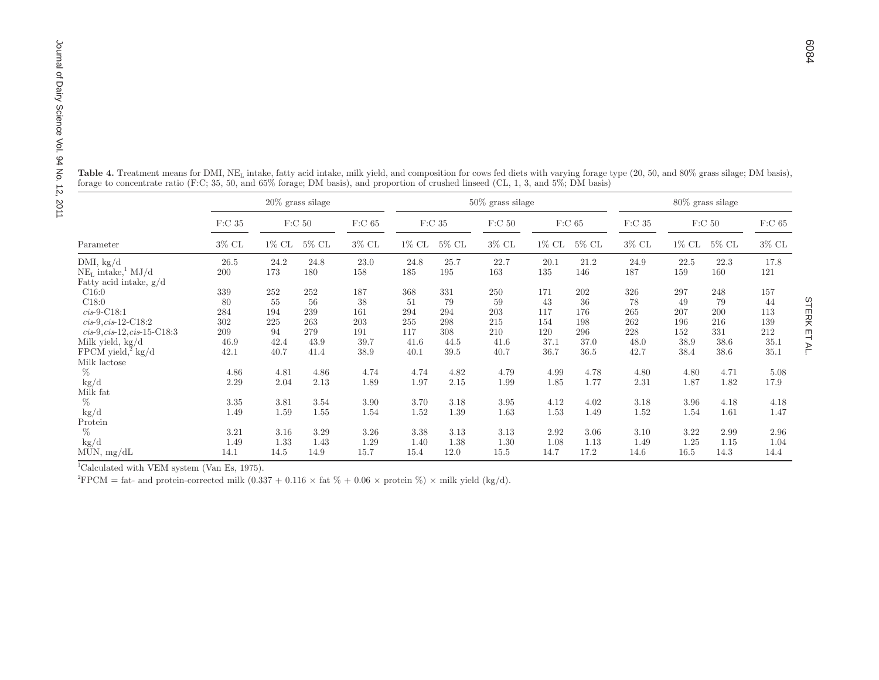| Table 4. Treatment means for DMI, NE <sub>L</sub> intake, fatty acid intake, milk yield, and composition for cows fed diets with varying forage type (20, 50, and 80% grass silage; DM basis), |               |          |                     |          |          |                   |                     |       |          |              |                     |                   |              |  |  |  |  |  |  |  |  |  |  |  |
|------------------------------------------------------------------------------------------------------------------------------------------------------------------------------------------------|---------------|----------|---------------------|----------|----------|-------------------|---------------------|-------|----------|--------------|---------------------|-------------------|--------------|--|--|--|--|--|--|--|--|--|--|--|
| forage to concentrate ratio (F:C; 35, 50, and 65% forage; DM basis), and proportion of crushed linseed (CL, 1, 3, and 5%; DM basis)                                                            |               |          |                     |          |          |                   |                     |       |          |              |                     |                   |              |  |  |  |  |  |  |  |  |  |  |  |
|                                                                                                                                                                                                |               |          | $20\%$ grass silage |          |          |                   | $50\%$ grass silage |       |          |              | $80\%$ grass silage |                   |              |  |  |  |  |  |  |  |  |  |  |  |
|                                                                                                                                                                                                | $\rm F: C$ 35 |          | F:C <sub>50</sub>   | $F:C$ 65 |          | F:C <sub>35</sub> | $\rm F:C$ 50        |       | $F:C$ 65 | $\rm F:C$ 35 |                     | F:C <sub>50</sub> | $\rm F:C$ 65 |  |  |  |  |  |  |  |  |  |  |  |
| Parameter                                                                                                                                                                                      | $3\%$ CL      | $1\%$ CL | $5\%$ CL            | $3\%$ CL | $1\%$ CL | $5\%$ CL          | $3\%$ CL            | 1% CL | $5\%$ CL | $3\%$ CL     | $1\%$ CL            | $5\%$ CL          | $3\%$ CL     |  |  |  |  |  |  |  |  |  |  |  |
| DMI, $kg/d$                                                                                                                                                                                    | 26.5          | 24.2     | 24.8                | 23.0     | 24.8     | 25.7              | 22.7                | 20.1  | 21.2     | 24.9         | 22.5                | 22.3              | 17.8         |  |  |  |  |  |  |  |  |  |  |  |
| $NE_{L}$ intake, $^{1}$ MJ/d<br>Fatty acid intake, g/d                                                                                                                                         | 200           | 173      | 180                 | 158      | 185      | 195               | 163                 | 135   | 146      | 187          | 159                 | 160               | 121          |  |  |  |  |  |  |  |  |  |  |  |
| C16:0                                                                                                                                                                                          | 339           | 252      | 252                 | 187      | 368      | 331               | 250                 | 171   | 202      | 326          | 297                 | 248               | 157          |  |  |  |  |  |  |  |  |  |  |  |
| C18:0                                                                                                                                                                                          | 80            | 55       | 56                  | 38       | 51       | 79                | 59                  | 43    | 36       | 78           | 49                  | 79                | 44           |  |  |  |  |  |  |  |  |  |  |  |
| $cis-9-C18:1$                                                                                                                                                                                  | 284           | 194      | 239                 | 161      | 294      | 294               | 203                 | 117   | 176      | 265          | 207                 | 200               | 113          |  |  |  |  |  |  |  |  |  |  |  |
| $cis-9, cis-12-C18:2$                                                                                                                                                                          | 302           | 225      | 263                 | 203      | 255      | 298               | 215                 | 154   | 198      | 262          | 196                 | 216               | 139          |  |  |  |  |  |  |  |  |  |  |  |
| $cis-9, cis-12, cis-15-C18:3$                                                                                                                                                                  | 209           | 94       | 279                 | 191      | 117      | 308               | 210                 | 120   | 296      | 228          | 152                 | $331\,$           | $212\,$      |  |  |  |  |  |  |  |  |  |  |  |
| Milk yield, kg/d                                                                                                                                                                               | 46.9          | 42.4     | 43.9                | 39.7     | 41.6     | 44.5              | 41.6                | 37.1  | 37.0     | 48.0         | 38.9                | 38.6              | $35.1\,$     |  |  |  |  |  |  |  |  |  |  |  |
| FPCM yield, <sup>2</sup> kg/d                                                                                                                                                                  | 42.1          | 40.7     | 41.4                | 38.9     | 40.1     | 39.5              | 40.7                | 36.7  | 36.5     | 42.7         | 38.4                | 38.6              | 35.1         |  |  |  |  |  |  |  |  |  |  |  |
| Milk lactose                                                                                                                                                                                   |               |          |                     |          |          |                   |                     |       |          |              |                     |                   |              |  |  |  |  |  |  |  |  |  |  |  |
| %                                                                                                                                                                                              | 4.86          | 4.81     | 4.86                | 4.74     | 4.74     | 4.82              | 4.79                | 4.99  | 4.78     | 4.80         | 4.80                | 4.71              | 5.08         |  |  |  |  |  |  |  |  |  |  |  |
| $\text{kg}/\text{d}$                                                                                                                                                                           | 2.29          | 2.04     | 2.13                | 1.89     | 1.97     | 2.15              | 1.99                | 1.85  | 1.77     | 2.31         | 1.87                | 1.82              | 17.9         |  |  |  |  |  |  |  |  |  |  |  |
| Milk fat                                                                                                                                                                                       |               |          |                     |          |          |                   |                     |       |          |              |                     |                   |              |  |  |  |  |  |  |  |  |  |  |  |
| $\%$                                                                                                                                                                                           | 3.35          | 3.81     | 3.54                | 3.90     | 3.70     | 3.18              | 3.95                | 4.12  | 4.02     | 3.18         | 3.96                | 4.18              | 4.18         |  |  |  |  |  |  |  |  |  |  |  |
| kg/d                                                                                                                                                                                           | 1.49          | 1.59     | 1.55                | 1.54     | 1.52     | 1.39              | 1.63                | 1.53  | 1.49     | 1.52         | 1.54                | 1.61              | 1.47         |  |  |  |  |  |  |  |  |  |  |  |
| Protein                                                                                                                                                                                        |               |          |                     |          |          |                   |                     |       |          |              |                     |                   |              |  |  |  |  |  |  |  |  |  |  |  |
| %                                                                                                                                                                                              | 3.21          | 3.16     | 3.29                | 3.26     | 3.38     | 3.13              | 3.13                | 2.92  | 3.06     | 3.10         | 3.22                | 2.99              | 2.96         |  |  |  |  |  |  |  |  |  |  |  |
| $\text{kg}/\text{d}$                                                                                                                                                                           | 1.49          | 1.33     | 1.43                | 1.29     | 1.40     | 1.38              | 1.30                | 1.08  | 1.13     | 1.49         | 1.25                | 1.15              | 1.04         |  |  |  |  |  |  |  |  |  |  |  |
| MUN, $mg/dL$                                                                                                                                                                                   | 14.1          | 14.5     | 14.9                | 15.7     | 15.4     | 12.0              | 15.5                | 14.7  | 17.2     | 14.6         | 16.5                | 14.3              | 14.4         |  |  |  |  |  |  |  |  |  |  |  |

 $\overline{1}$ Calculated with VEM system (Van Es, 1975).

<sup>2</sup>FPCM = fat- and protein-corrected milk  $(0.337 + 0.116 \times \text{fat }\% + 0.06 \times \text{protein }\%) \times \text{milk yield (kg/d)}.$ 

**STERK ET AL** STERK ET AL.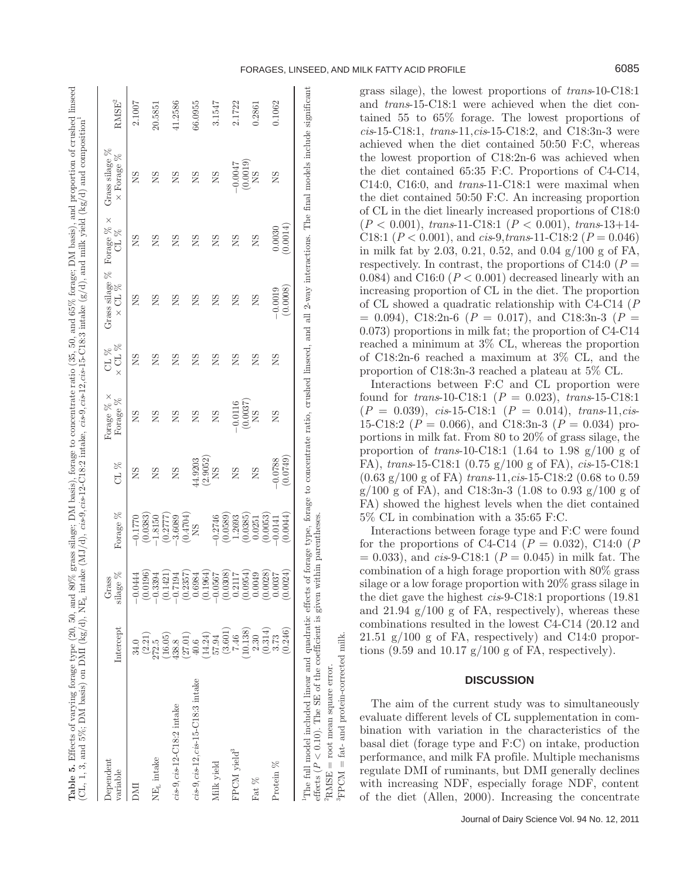| こくてくる                                                                          |                                                                                                                          |
|--------------------------------------------------------------------------------|--------------------------------------------------------------------------------------------------------------------------|
|                                                                                |                                                                                                                          |
|                                                                                |                                                                                                                          |
|                                                                                | $\frac{1}{2}$                                                                                                            |
| monomeron of ominal                                                            |                                                                                                                          |
|                                                                                |                                                                                                                          |
| ce en mondord mm                                                               |                                                                                                                          |
|                                                                                |                                                                                                                          |
|                                                                                |                                                                                                                          |
|                                                                                |                                                                                                                          |
|                                                                                |                                                                                                                          |
|                                                                                |                                                                                                                          |
|                                                                                |                                                                                                                          |
|                                                                                |                                                                                                                          |
|                                                                                |                                                                                                                          |
| anal and re                                                                    |                                                                                                                          |
|                                                                                |                                                                                                                          |
|                                                                                |                                                                                                                          |
|                                                                                |                                                                                                                          |
|                                                                                |                                                                                                                          |
|                                                                                |                                                                                                                          |
|                                                                                |                                                                                                                          |
|                                                                                |                                                                                                                          |
|                                                                                |                                                                                                                          |
|                                                                                |                                                                                                                          |
|                                                                                |                                                                                                                          |
|                                                                                |                                                                                                                          |
| )                                                                              |                                                                                                                          |
| MATO TOTORE, TAN<br>$\sim$ not $\%$ to reason.                                 | $\lceil \sigma / d \rceil$ and milk vield $\lceil \log / d \rceil$ and com-                                              |
| $\sim$ $\sim$ $\sim$ $\sim$                                                    |                                                                                                                          |
|                                                                                |                                                                                                                          |
|                                                                                |                                                                                                                          |
|                                                                                |                                                                                                                          |
|                                                                                |                                                                                                                          |
|                                                                                |                                                                                                                          |
|                                                                                |                                                                                                                          |
|                                                                                |                                                                                                                          |
|                                                                                |                                                                                                                          |
| $\sim$ 50, and bo $\sim$ .<br>a pasis), iorge oo concentrative tage (oo), oo), | ./d), $cis-9$ , $cis-12$ -C18:2 intake, $cis-9$ , $cis-12$ , $cis-15$ -C18:3 intake (g/d), and milk yield (kg/d) and $c$ |
|                                                                                |                                                                                                                          |
|                                                                                |                                                                                                                          |
| l orter of experience                                                          |                                                                                                                          |
|                                                                                |                                                                                                                          |
|                                                                                |                                                                                                                          |
|                                                                                |                                                                                                                          |
|                                                                                |                                                                                                                          |
|                                                                                |                                                                                                                          |
|                                                                                |                                                                                                                          |
|                                                                                |                                                                                                                          |
|                                                                                |                                                                                                                          |
|                                                                                |                                                                                                                          |
|                                                                                |                                                                                                                          |
|                                                                                |                                                                                                                          |
|                                                                                |                                                                                                                          |
|                                                                                |                                                                                                                          |
|                                                                                |                                                                                                                          |
|                                                                                |                                                                                                                          |
|                                                                                |                                                                                                                          |
|                                                                                |                                                                                                                          |
|                                                                                |                                                                                                                          |
|                                                                                |                                                                                                                          |
|                                                                                |                                                                                                                          |
|                                                                                |                                                                                                                          |
|                                                                                |                                                                                                                          |
|                                                                                |                                                                                                                          |
|                                                                                |                                                                                                                          |
|                                                                                |                                                                                                                          |
|                                                                                |                                                                                                                          |
|                                                                                |                                                                                                                          |
|                                                                                |                                                                                                                          |
| J% grass suage                                                                 | $\sim$ $\sim$ $\sim$ $\sim$ $\sim$ $\sim$                                                                                |
|                                                                                |                                                                                                                          |
|                                                                                |                                                                                                                          |
|                                                                                | ake (                                                                                                                    |
| ì                                                                              |                                                                                                                          |
|                                                                                |                                                                                                                          |
|                                                                                |                                                                                                                          |
|                                                                                | $\frac{1}{4}$                                                                                                            |
| معا                                                                            |                                                                                                                          |
|                                                                                |                                                                                                                          |
|                                                                                |                                                                                                                          |
| us<br>Uu                                                                       |                                                                                                                          |
|                                                                                |                                                                                                                          |
|                                                                                |                                                                                                                          |
|                                                                                | $\mathcal{M}$ DMI $\left(\frac{1}{2}\sigma / d\right)$                                                                   |
|                                                                                |                                                                                                                          |
|                                                                                |                                                                                                                          |
|                                                                                |                                                                                                                          |
|                                                                                |                                                                                                                          |
|                                                                                |                                                                                                                          |
|                                                                                |                                                                                                                          |
|                                                                                |                                                                                                                          |
|                                                                                |                                                                                                                          |
|                                                                                |                                                                                                                          |
|                                                                                |                                                                                                                          |
|                                                                                |                                                                                                                          |
|                                                                                |                                                                                                                          |
|                                                                                |                                                                                                                          |
|                                                                                |                                                                                                                          |
|                                                                                |                                                                                                                          |
|                                                                                |                                                                                                                          |
|                                                                                |                                                                                                                          |
|                                                                                |                                                                                                                          |
|                                                                                |                                                                                                                          |
|                                                                                |                                                                                                                          |
|                                                                                |                                                                                                                          |
|                                                                                |                                                                                                                          |
|                                                                                |                                                                                                                          |
|                                                                                |                                                                                                                          |
| able 5. Effects of varying forage type ""                                      | ыʻ, т                                                                                                                    |

| Dependent                            |                 | Grass                                           |                       |           | Forage $% \times$ | CL %             | Grass silage $%$ Forage $%$ $\times$ |          | Grass silage $\%$    |                   |
|--------------------------------------|-----------------|-------------------------------------------------|-----------------------|-----------|-------------------|------------------|--------------------------------------|----------|----------------------|-------------------|
| variable                             | Intercept       | $\aleph$<br>silage                              | Forage %              | CL $\%$   | Forage %          | $\times$ CL $\%$ | $\times$ CL $\%$                     | CL %     | $\times$ Forage $\%$ | $\mathrm{RMSE}^2$ |
| EMO                                  | 34.0            | $-0.0444$                                       | $-0.1770$             | ΧŚ        | SN                | SN               | ΧŚ                                   | ΧS       | SN                   | 2.1007            |
| $NEL$ intake                         | (2.21)<br>272.5 | $(0.0196)$<br>-0.3394                           | (0.0383)<br>$-1.8150$ | SN        | SN                | SN               | SN                                   | ΧS       | SN                   | 20.5851           |
|                                      | (16.05)         | $(0.1421)$<br>-0.7194                           | (0.2777)              |           |                   |                  |                                      |          |                      |                   |
| $cis-9, cis-12-C18:2$ intake         | 438.8           | $-0.71$                                         | $-3.6089$             | <b>SN</b> | SN                | SN               | SN                                   | ΧS       | SN                   | 41.2586           |
|                                      | (27.01)         | $\left(0.2357\right)$ $0.6984$                  | (0.4704)              |           |                   |                  |                                      |          |                      |                   |
| $cis-9, cis-12, cis-15-C18:3$ intake | 40.6            |                                                 | ŠN                    | 44.9203   | SN                | SN               | SN                                   | ΣÑ       | SN                   | 66.0955           |
|                                      | (14.24)         |                                                 |                       | (2.9052)  |                   |                  |                                      |          |                      |                   |
| Milk yield                           | 57.94           | $(0.1964)$<br>-0.0567                           | $-0.2746$             | ŠN        | SN                | SN               | SN                                   | ŠN       | SN                   | 3.1547            |
|                                      | (3.601)         | $\left(0.0308\right)0.2117$                     | (0.0589)              |           |                   |                  |                                      |          |                      |                   |
| FPCM yield <sup>3</sup>              | 7.46            |                                                 | 1.2693                | SN        | $-0.0116$         | SN               | SN                                   | SN       | $-0.0047$            | 2.1722            |
|                                      | (10.138)        | $\stackrel{\textbf{(0.0954)}}{\textbf{0.0049}}$ | (0.0385)              |           | (0.0037)          |                  |                                      |          | (0.0019)             |                   |
| Fat $\%$                             | 2.30            |                                                 | 0.0251                | SN        | 8N                | SN               | SN                                   | SN       | ŠN                   | 0.2861            |
|                                      | (0.314)         | $\left(0.0028\right)0.0037$                     | (0.0053)              |           |                   |                  |                                      |          |                      |                   |
| Protein %                            | 3.73            |                                                 | $-0.0141$             | $-0.0788$ | SN                | SN               | $-0.0019$                            | 0.0030   | SN                   | 0.1062            |
|                                      | (0.246)         | (124)<br>$\sum_{i=1}^{\infty}$                  | (0.0044)              | (0.0749)  |                   |                  | (0.0008)                             | (0.0014) |                      |                   |

*effects* ( $P < 0.10$ ). The SE of the coefficient is given within parentheses.  $PRMSE$  = root mean square error.  ${}^{3}\text{FPCM} = \text{fat-}$  and protein-corrected milk. and protein-corrected milk  $PRMSE = root$  mean square error. fat- $\parallel$  ${}^{3}\text{FPCM}$ 

grass silage), the lowest proportions of *trans*-10-C18:1 and *trans*-15-C18:1 were achieved when the diet contained 55 to 65% forage. The lowest proportions of *cis*-15-C18:1, *trans*-11,*cis*-15-C18:2, and C18:3n-3 were achieved when the diet contained 50:50 F:C, whereas the lowest proportion of C18:2n-6 was achieved when the diet contained 65:35 F:C. Proportions of C4-C14, C14:0, C16:0, and *trans*-11-C18:1 were maximal when the diet contained 50:50 F:C. An increasing proportion of CL in the diet linearly increased proportions of C18:0 (*P* < 0.001), *trans*-11-C18:1 (*P* < 0.001), *trans*-13+14- C18:1 (*P* < 0.001), and *cis*-9,*trans*-11-C18:2 (*P* = 0.046) in milk fat by 2.03, 0.21, 0.52, and 0.04 g/100 g of FA, respectively. In contrast, the proportions of  $C14:0$  ( $P=$ 0.084) and C16:0  $(P < 0.001)$  decreased linearly with an increasing proportion of CL in the diet. The proportion of CL showed a quadratic relationship with C4-C14 (*P*  $= 0.094$ ), C18:2n-6 ( $P = 0.017$ ), and C18:3n-3 ( $P =$ 0.073) proportions in milk fat; the proportion of C4-C14 reached a minimum at 3% CL, whereas the proportion of C18:2n-6 reached a maximum at 3% CL, and the proportion of C18:3n-3 reached a plateau at 5% CL.

Interactions between F:C and CL proportion were found for *trans*-10-C18:1 (*P* = 0.023), *trans*-15-C18:1 (*P* = 0.039), *cis*-15-C18:1 (*P* = 0.014), *trans*-11,*cis*-15-C18:2 (*P* = 0.066), and C18:3n-3 (*P* = 0.034) proportions in milk fat. From 80 to 20% of grass silage, the proportion of *trans*-10-C18:1 (1.64 to 1.98 g/100 g of FA), *trans*-15-C18:1 (0.75 g/100 g of FA), *cis*-15-C18:1 (0.63 g/100 g of FA) *trans*-11,*cis*-15-C18:2 (0.68 to 0.59  $g/100 \text{ g}$  of FA), and C18:3n-3 (1.08 to 0.93  $g/100 \text{ g}$  of FA) showed the highest levels when the diet contained 5% CL in combination with a 35:65 F:C.

Interactions between forage type and F:C were found for the proportions of C4-C14 ( $P = 0.032$ ), C14:0 ( $P$  $= 0.033$ , and *cis*-9-C18:1 ( $P = 0.045$ ) in milk fat. The combination of a high forage proportion with 80% grass silage or a low forage proportion with 20% grass silage in the diet gave the highest *cis*-9-C18:1 proportions (19.81 and  $21.94 \text{ g}/100 \text{ g}$  of FA, respectively), whereas these combinations resulted in the lowest C4-C14 (20.12 and 21.51  $g/100$  g of FA, respectively) and C14:0 proportions (9.59 and 10.17  $g/100 g$  of FA, respectively).

# **DISCUSSION**

The aim of the current study was to simultaneously evaluate different levels of CL supplementation in combination with variation in the characteristics of the basal diet (forage type and F:C) on intake, production performance, and milk FA profile. Multiple mechanisms regulate DMI of ruminants, but DMI generally declines with increasing NDF, especially forage NDF, content of the diet (Allen, 2000). Increasing the concentrate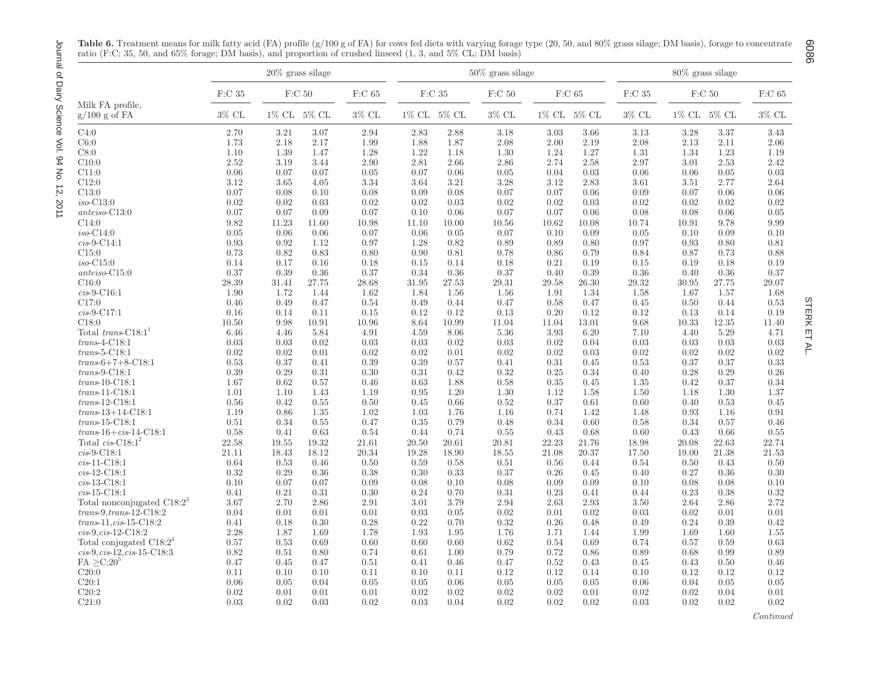|                                          |          |       | $20\%$ grass silage |              |       |               | $50\%$ grass silage |       |              |              |       | 80% grass silage         |              |
|------------------------------------------|----------|-------|---------------------|--------------|-------|---------------|---------------------|-------|--------------|--------------|-------|--------------------------|--------------|
|                                          | $F:C$ 35 |       | F:C <sub>50</sub>   | $\rm F:C$ 65 |       | $\rm F: C$ 35 | F:C <sub>50</sub>   |       | $\rm F:C$ 65 | $\rm F:C$ 35 |       | F:C <sub>50</sub>        | $\rm F:C$ 65 |
| Milk FA profile.<br>$g/100$ g of FA      | $3\%$ CL |       | 1% CL 5% CL         | $3\%$ CL     |       | 1% CL 5% CL   | $3\%$ CL            |       | 1% CL 5% CL  | $3\%$ CL     |       | $1\%$ CL $\,$ 5% CL $\,$ | $3\%$ CL     |
| C4:0                                     | 2.70     | 3.21  | 3.07                | 2.94         | 2.83  | 2.88          | 3.18                | 3.03  | 3.66         | 3.13         | 3.28  | 3.37                     | 3.43         |
| C6:0                                     | 1.73     | 2.18  | 2.17                | 1.99         | 1.88  | 1.87          | 2.08                | 2.00  | 2.19         | 2.08         | 2.13  | 2.11                     | 2.06         |
| C8:0                                     | 1.10     | 1.39  | 1.47                | 1.28         | 1.22  | 1.18          | 1.30                | 1.24  | 1.27         | 1.31         | 1.34  | 1.23                     | 1.19         |
| C10:0                                    | 2.52     | 3.19  | 3.44                | 2.90         | 2.81  | 2.66          | 2.86                | 2.74  | 2.58         | 2.97         | 3.01  | 2.53                     | 2.42         |
| C11:0                                    | 0.06     | 0.07  | 0.07                | 0.05         | 0.07  | 0.06          | 0.05                | 0.04  | 0.03         | 0.06         | 0.06  | 0.05                     | 0.03         |
| C12:0                                    | 3.12     | 3.65  | 4.05                | 3.34         | 3.64  | 3.21          | 3.28                | 3.12  | 2.83         | 3.61         | 3.51  | 2.77                     | 2.64         |
| C13:0                                    | 0.07     | 0.08  | 0.10                | 0.08         | 0.09  | 0.08          | 0.07                | 0.07  | 0.06         | 0.09         | 0.07  | 0.06                     | 0.06         |
| $iso-C13:0$                              | 0.02     | 0.02  | 0.03                | 0.02         | 0.02  | 0.03          | 0.02                | 0.02  | 0.03         | 0.02         | 0.02  | 0.02                     | 0.02         |
| $\mathit{anteiso}\text{-}\mathrm{C}13:0$ | 0.07     | 0.07  | 0.09                | 0.07         | 0.10  | 0.06          | 0.07                | 0.07  | 0.06         | 0.08         | 0.08  | 0.06                     | 0.05         |
| C14:0                                    | 9.82     | 11.23 | 11.60               | 10.98        | 11.10 | 10.00         | 10.56               | 10.62 | 10.08        | 10.74        | 10.91 | 9.78                     | 9.99         |
| $iso-C14:0$                              | 0.05     | 0.06  | 0.06                | 0.07         | 0.06  | 0.05          | 0.07                | 0.10  | 0.09         | 0.05         | 0.10  | 0.09                     | 0.10         |
| $cis-9-C14:1$                            | 0.93     | 0.92  | 1.12                | 0.97         | 1.28  | 0.82          | 0.89                | 0.89  | 0.80         | 0.97         | 0.93  | 0.80                     | 0.81         |
| C15:0                                    |          |       |                     |              |       |               |                     |       |              |              |       |                          |              |
|                                          | 0.73     | 0.82  | 0.83                | 0.80         | 0.90  | 0.81          | 0.78                | 0.86  | 0.79         | 0.84         | 0.87  | 0.73                     | 0.88         |
| $iso-C15:0$                              | 0.14     | 0.17  | 0.16                | 0.18         | 0.15  | 0.14          | 0.18                | 0.21  | 0.19         | 0.15         | 0.19  | 0.18                     | 0.19         |
| $anteiso-C15:0$                          | 0.37     | 0.39  | 0.36                | 0.37         | 0.34  | 0.36          | 0.37                | 0.40  | 0.39         | 0.36         | 0.40  | 0.36                     | 0.37         |
| C16:0                                    | 28.39    | 31.41 | 27.75               | 28.68        | 31.95 | 27.53         | 29.31               | 29.58 | 26.30        | 29.32        | 30.95 | 27.75                    | 29.07        |
| $cis-9-C16:1$                            | 1.90     | 1.72  | 1.44                | 1.62         | 1.84  | 1.56          | 1.56                | 1.91  | 1.34         | 1.58         | 1.67  | 1.57                     | 1.68         |
| C17:0                                    | 0.46     | 0.49  | 0.47                | 0.54         | 0.49  | 0.44          | 0.47                | 0.58  | 0.47         | 0.45         | 0.50  | 0.44                     | 0.53         |
| $cis-9-C17:1$                            | 0.16     | 0.14  | 0.11                | 0.15         | 0.12  | 0.12          | 0.13                | 0.20  | 0.12         | 0.12         | 0.13  | 0.14                     | 0.19         |
| C18:0                                    | 10.50    | 9.98  | 10.91               | 10.96        | 8.64  | 10.99         | 11.04               | 11.04 | 13.01        | 9.68         | 10.33 | 12.35                    | $11.40\,$    |
| Total trans- $C18:1^1$                   | 6.46     | 4.46  | 5.84                | 4.91         | 4.59  | 8.06          | 5.36                | 3.93  | 6.20         | 7.10         | 4.40  | 5.29                     | 4.71         |
| $trans-4-C18:1$                          | 0.03     | 0.03  | 0.02                | 0.03         | 0.03  | 0.02          | 0.03                | 0.02  | 0.04         | 0.03         | 0.03  | 0.03                     | 0.03         |
| $trans-5-C18:1$                          | 0.02     | 0.02  | 0.01                | 0.02         | 0.02  | 0.01          | 0.02                | 0.02  | 0.03         | 0.02         | 0.02  | 0.02                     | 0.02         |
| $trans-6+7+8-C18:1$                      | $0.53\,$ | 0.37  | 0.41                | 0.39         | 0.39  | 0.57          | 0.41                | 0.31  | 0.45         | 0.53         | 0.37  | 0.37                     | 0.33         |
| $trans-9-C18:1$                          | 0.39     | 0.29  | 0.31                | 0.30         | 0.31  | 0.42          | 0.32                | 0.25  | 0.34         | 0.40         | 0.28  | 0.29                     | 0.26         |
| $trans-10-C18:1$                         | 1.67     | 0.62  | 0.57                | 0.46         | 0.63  | 1.88          | 0.58                | 0.35  | 0.45         | 1.35         | 0.42  | 0.37                     | 0.34         |
| $trans-11-C18:1$                         | 1.01     | 1.10  | 1.43                | 1.19         | 0.95  | 1.20          | 1.30                | 1.12  | 1.58         | 1.50         | 1.18  | 1.30                     | 1.37         |
| $trans-12-C18:1$                         | 0.56     | 0.42  | 0.55                | 0.50         | 0.45  | 0.66          | 0.52                | 0.37  | 0.61         | 0.60         | 0.40  | 0.53                     | 0.45         |
| $trans-13+14-C18:1$                      | 1.19     | 0.86  | 1.35                | 1.02         | 1.03  | 1.76          | 1.16                | 0.74  | 1.42         | 1.48         | 0.93  | 1.16                     | $\rm 0.91$   |
| $trans-15-C18:1$                         | 0.51     | 0.34  | 0.55                | 0.47         | 0.35  | 0.79          | 0.48                | 0.34  | 0.60         | 0.58         | 0.34  | 0.57                     | 0.46         |
| $trans-16+cis-14-C18:1$                  | 0.58     | 0.41  | 0.63                | 0.54         | 0.44  | 0.74          | 0.55                | 0.43  | 0.68         | 0.60         | 0.43  | 0.66                     | $0.55\,$     |
| Total $cis$ -C18:1 <sup>2</sup>          | 22.58    | 19.55 | 19.32               | 21.61        | 20.50 | 20.61         | 20.81               | 22.23 | 21.76        | 18.98        | 20.08 | 22.63                    | 22.74        |
| $cis-9-C18:1$                            | 21.11    | 18.43 | 18.12               | 20.34        | 19.28 | 18.90         | 18.55               | 21.08 | 20.37        | 17.50        | 19.00 | $21.38\,$                | 21.53        |
| $cis-11-C18:1$                           | 0.64     | 0.53  | 0.46                | 0.50         | 0.59  | 0.58          | 0.51                | 0.56  | 0.44         | 0.54         | 0.50  | 0.43                     | 0.50         |
| $cis-12-C18:1$                           | 0.32     | 0.29  | 0.36                | 0.38         | 0.30  | 0.33          | 0.37                | 0.26  | 0.45         | 0.40         | 0.27  | 0.36                     | 0.30         |
| $cis-13-C18:1$                           | 0.10     | 0.07  | 0.07                | 0.09         | 0.08  | 0.10          | 0.08                | 0.09  | 0.09         | 0.10         | 0.08  | 0.08                     | 0.10         |
| $cis-15-C18:1$                           | 0.41     | 0.21  | 0.31                | 0.30         | 0.24  | 0.70          | 0.31                | 0.23  | 0.41         | 0.44         | 0.23  | 0.38                     | 0.32         |
| Total nonconjugated $C18:2^3$            | 3.67     | 2.70  | 2.86                | 2.91         | 3.01  | 3.79          | 2.94                | 2.63  | 2.93         | 3.50         | 2.64  | 2.86                     | 2.72         |
| $trans-9, trans-12-C18:2$                | 0.04     | 0.01  | 0.01                | 0.01         | 0.03  | 0.05          | 0.02                | 0.01  | 0.02         | 0.03         | 0.02  | 0.01                     | 0.01         |
| $trans-11, cis-15-C18:2$                 | 0.41     | 0.18  | 0.30                | 0.28         | 0.22  | 0.70          | 0.32                | 0.26  | 0.48         | 0.49         | 0.24  | 0.39                     | 0.42         |
|                                          |          |       |                     |              |       |               |                     |       |              |              |       |                          |              |
| $cis-9, cis-12-C18:2$                    | 2.28     | 1.87  | 1.69                | 1.78         | 1.93  | 1.95          | 1.76                | 1.71  | 1.44         | 1.99         | 1.69  | 1.60                     | 1.55         |
| Total conjugated $C18:2^4$               | 0.57     | 0.53  | 0.69                | 0.60         | 0.60  | 0.60          | 0.62                | 0.54  | 0.69         | 0.74         | 0.57  | 0.59                     | 0.63         |
| $cis-9, cis-12, cis-15-C18:3$            | 0.82     | 0.51  | 0.80                | 0.74         | 0.61  | 1.00          | 0.79                | 0.72  | 0.86         | 0.89         | 0.68  | 0.99                     | 0.89         |
| $FA \geq C:20^5$                         | 0.47     | 0.45  | 0.47                | 0.51         | 0.41  | 0.46          | 0.47                | 0.52  | 0.43         | 0.45         | 0.43  | 0.50                     | 0.46         |
| C20:0                                    | 0.11     | 0.10  | 0.10                | 0.11         | 0.10  | 0.11          | 0.12                | 0.12  | 0.14         | 0.10         | 0.12  | 0.12                     | 0.12         |
| C20:1                                    | 0.06     | 0.05  | 0.04                | 0.05         | 0.05  | 0.06          | 0.05                | 0.05  | 0.05         | 0.06         | 0.04  | 0.05                     | $0.05\,$     |
| C20:2                                    | 0.02     | 0.01  | 0.01                | 0.01         | 0.02  | 0.02          | 0.02                | 0.02  | 0.01         | 0.02         | 0.02  | 0.04                     | 0.01         |
| C21:0                                    | 0.03     | 0.02  | 0.03                | 0.02         | 0.03  | 0.04          | 0.02                | 0.02  | 0.02         | 0.03         | 0.02  | 0.02                     | 0.02         |

**Table 6.** Treatment means for milk fatty acid (FA) profile (g/100 g of FA) for cows fed diets with varying forage type (20, 50, and 80% grass silage; DM basis), forage to concentrate ratio (F:C; 35, 50, and 65% forage; DM basis), and proportion of crushed linseed (1, 3, and 5% CL; DM basis)  $\overline{\phantom{a}}$ 

**STERK ET AL.** STERK ET AL.

6086

Journal of Dairy Science Vol. 94 No. 12, 2011 Journal of Dairy Science Vol. 94 No. 12, 2011

*Continued*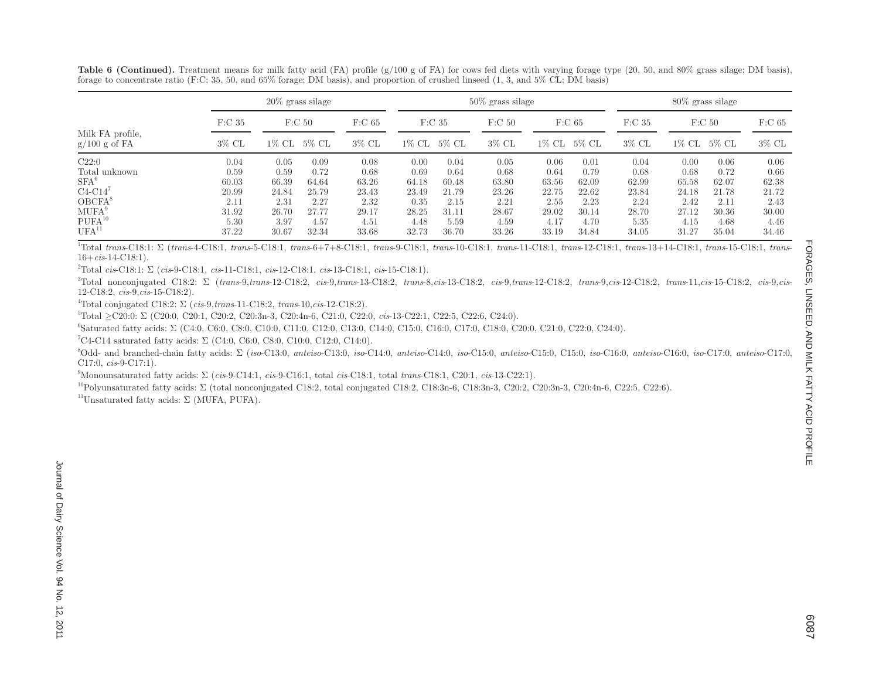Table 6 (Continued). Treatment means for milk fatty acid (FA) profile (g/100 g of FA) for cows fed diets with varying forage type (20, 50, and 80% grass silage; DM basis), forage to concentrate ratio (F:C; 35, 50, and 65% forage; DM basis), and proportion of crushed linseed (1, 3, and 5% CL; DM basis)

|                                     |                    | $20\%$ grass silage |       |          |                    |       | $50\%$ grass silage |          |                    |                   |       | $80\%$ grass silage |                   |
|-------------------------------------|--------------------|---------------------|-------|----------|--------------------|-------|---------------------|----------|--------------------|-------------------|-------|---------------------|-------------------|
|                                     | F: C <sub>35</sub> | F: C 50             |       | $F:C$ 65 | F: C <sub>35</sub> |       | F: C 50             |          | F: C <sub>65</sub> | F:C <sub>35</sub> |       | F: C 50             | F:C <sub>65</sub> |
| Milk FA profile,<br>$g/100$ g of FA | $3\%$ CL           | 1% CL               | 5% CL | $3\%$ CL | $1\%$ CL           | 5% CL | $3\%$ CL            | $1\%$ CL | 5% CL              | $3\%$ CL          | 1% CL | 5% CL               | $3\%$ CL          |
| C22:0                               | 0.04               | 0.05                | 0.09  | 0.08     | 0.00               | 0.04  | 0.05                | 0.06     | 0.01               | 0.04              | 0.00  | 0.06                | 0.06              |
| Total unknown                       | 0.59               | 0.59                | 0.72  | 0.68     | 0.69               | 0.64  | 0.68                | 0.64     | 0.79               | 0.68              | 0.68  | 0.72                | 0.66              |
| $SFA^6$                             | 60.03              | 66.39               | 64.64 | 63.26    | 64.18              | 60.48 | 63.80               | 63.56    | 62.09              | 62.99             | 65.58 | 62.07               | 62.38             |
| $C4-C14$                            | 20.99              | 24.84               | 25.79 | 23.43    | 23.49              | 21.79 | 23.26               | 22.75    | 22.62              | 23.84             | 24.18 | 21.78               | 21.72             |
| $OBCFA^8$                           | 2.11               | 2.31                | 2.27  | 2.32     | 0.35               | 2.15  | 2.21                | 2.55     | 2.23               | 2.24              | 2.42  | 2.11                | 2.43              |
| MUFA <sup>9</sup>                   | 31.92              | 26.70               | 27.77 | 29.17    | 28.25              | 31.11 | 28.67               | 29.02    | 30.14              | 28.70             | 27.12 | 30.36               | 30.00             |
| $PUFA^{10}$                         | 5.30               | 3.97                | 4.57  | 4.51     | 4.48               | 5.59  | 4.59                | 4.17     | 4.70               | 5.35              | 4.15  | 4.68                | 4.46              |
| $UFA^{11}$                          | 37.22              | 30.67               | 32.34 | 33.68    | 32.73              | 36.70 | 33.26               | 33.19    | 34.84              | 34.05             | 31.27 | 35.04               | 34.46             |

 $^{1}$ Total trans-C18:1:  $\Sigma$  (trans-4-C18:1, trans-5-C18:1, trans-6+7+8-C18:1, trans-9-C18:1, trans-10-C18:1, trans-11-C18:1, trans-12-C18:1, trans-13+14-C18:1, trans-15-C18:1, trans-13-16+*cis*-14-C18:1).

2Total *cis*-C18:1: Σ (*cis*-9-C18:1, *cis*-11-C18:1, *cis*-12-C18:1, *cis*-13-C18:1, *cis*-15-C18:1).

 ${}^{3}$ Total nonconjugated C18:2:  $\Sigma$  (trans-9.trans-12-C18:2, cis-9.trans-13-C18:2, trans-8.cis-13-C18:2, cis-9.trans-12-C18:2, trans-9.cis-12-C18:2, trans-9.cis-12-C18:2, trans-1.cis-15-C18:2, cis-9.cis 12-C18:2, *cis*-9,*cis*-15-C18:2).

4Total conjugated C18:2: Σ (*cis*-9,*trans*-11-C18:2, *trans*-10,*cis*-12-C18:2).

5Total ≥C20:0: Σ (C20:0, C20:1, C20:2, C20:3n-3, C20:4n-6, C21:0, C22:0, *cis*-13-C22:1, C22:5, C22:6, C24:0).

6Saturated fatty acids: Σ (C4:0, C6:0, C8:0, C10:0, C11:0, C12:0, C13:0, C14:0, C15:0, C16:0, C17:0, C18:0, C20:0, C21:0, C22:0, C24:0).

<sup>7</sup>C4-C14 saturated fatty acids:  $\Sigma$  (C4:0, C6:0, C8:0, C10:0, C12:0, C14:0).

 $^{8}$ Odd- and branched-chain fatty acids:  $\Sigma$  (iso-C13:0, anteiso-C13:0, iso-C14:0, anteiso-C15:0, iso-C15:0, anteiso-C15:0, C15:0, iso-C16:0, anteiso-C16:0, iso-C17:0, anteiso-C17:0 C17:0, *cis*-9-C17:1).

9Monounsaturated fatty acids: Σ (*cis*-9-C14:1, *cis*-9-C16:1, total *cis*-C18:1, total *trans*-C18:1, C20:1, *cis*-13-C22:1).

<sup>10</sup>Polyunsaturated fatty acids: Σ (total nonconjugated C18:2, total conjugated C18:2, C18:3n-6, C18:3n-3, C20:2, C20:3n-3, C20:4n-6, C22:5, C22:6).

<sup>11</sup>Unsaturated fatty acids:  $\Sigma$  (MUFA, PUFA).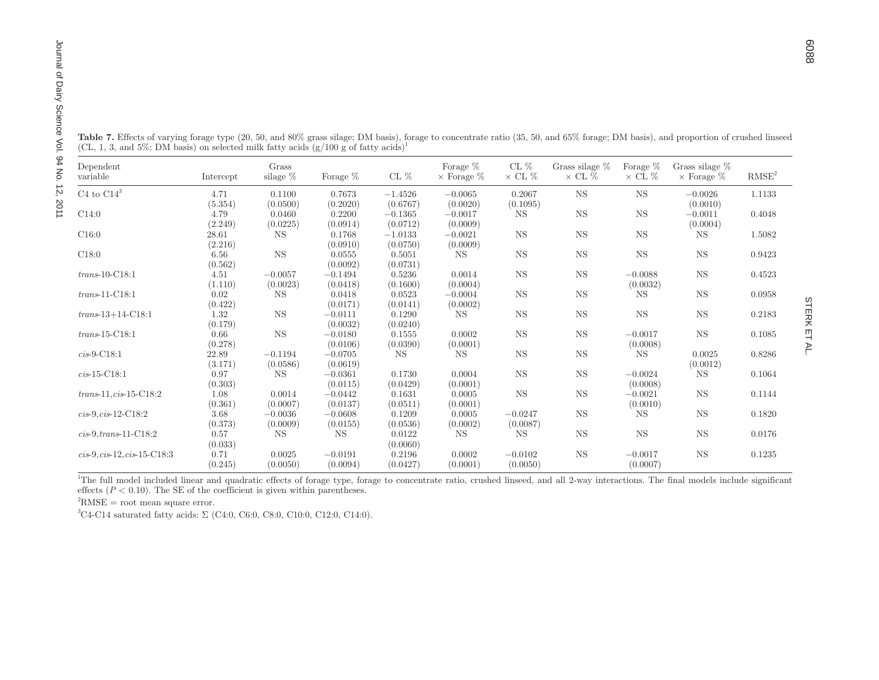| Table 7. Effects of varying forage type (20, 50, and 80% grass silage; DM basis), forage to concentrate ratio (35, 50, and 65% forage; DM basis), and proportion of crushed linseed |                 |                    |                       |                    |                         |                       |                |                       |                      |                   |
|-------------------------------------------------------------------------------------------------------------------------------------------------------------------------------------|-----------------|--------------------|-----------------------|--------------------|-------------------------|-----------------------|----------------|-----------------------|----------------------|-------------------|
|                                                                                                                                                                                     |                 |                    |                       |                    |                         |                       |                |                       |                      |                   |
|                                                                                                                                                                                     |                 |                    |                       |                    |                         |                       |                |                       |                      |                   |
|                                                                                                                                                                                     |                 |                    |                       |                    |                         |                       |                |                       |                      |                   |
|                                                                                                                                                                                     |                 |                    |                       |                    |                         |                       |                |                       |                      |                   |
|                                                                                                                                                                                     |                 |                    |                       |                    |                         |                       |                |                       |                      |                   |
| (CL, 1, 3, and 5%; DM basis) on selected milk fatty acids $(g/100 g \text{ of fatty acids})^1$                                                                                      |                 |                    |                       |                    |                         |                       |                |                       |                      |                   |
|                                                                                                                                                                                     |                 |                    |                       |                    |                         |                       |                |                       |                      |                   |
| Dependent                                                                                                                                                                           |                 | Grass              |                       |                    | Forage $%$              | CL $%$                | Grass silage % | Forage %              | Grass silage %       |                   |
| variable                                                                                                                                                                            | Intercept       | silage %           | Forage $%$            | CL $%$             | $\times$ Forage $\%$    | $\times$ CL %         | $\times$ CL %  | $\times$ CL %         | $\times$ Forage $\%$ | RMSE <sup>2</sup> |
| C4 to $\rm C14^3$                                                                                                                                                                   | 4.71            | 0.1100             | 0.7673                | $-1.4526$          | $-0.0065$               | 0.2067                | <b>NS</b>      | <b>NS</b>             | $-0.0026$            | 1.1133            |
|                                                                                                                                                                                     | (5.354)         | (0.0500)           | (0.2020)              | (0.6767)           | (0.0020)                | (0.1095)              |                |                       | (0.0010)             |                   |
| $\rm C14:0$                                                                                                                                                                         | 4.79            | 0.0460             | 0.2200                | $-0.1365$          | $-0.0017$               | <b>NS</b>             | <b>NS</b>      | $_{\rm NS}$           | $-0.0011$            | 0.4048            |
|                                                                                                                                                                                     | (2.249)         | (0.0225)           | (0.0914)              | (0.0712)           | (0.0009)                |                       |                |                       | (0.0004)             |                   |
| C16:0                                                                                                                                                                               | $28.61\,$       | <b>NS</b>          | 0.1768                | $-1.0133$          | $-0.0021$               | <b>NS</b>             | $_{\rm NS}$    | $_{\rm NS}$           | <b>NS</b>            | 1.5082            |
|                                                                                                                                                                                     | (2.216)         |                    | (0.0910)              | (0.0750)           | (0.0009)                |                       |                |                       |                      |                   |
| C18:0                                                                                                                                                                               | 6.56            | <b>NS</b>          | 0.0555                | 0.5051             | $_{\rm NS}$             | <b>NS</b>             | <b>NS</b>      | $_{\rm NS}$           | <b>NS</b>            | 0.9423            |
|                                                                                                                                                                                     | (0.562)         |                    | (0.0092)              | (0.0731)           |                         |                       |                |                       |                      |                   |
| $trans-10-C18:1$                                                                                                                                                                    | 4.51            | $-0.0057$          | $-0.1494$             | 0.5236             | 0.0014                  | <b>NS</b>             | <b>NS</b>      | $-0.0088$             | <b>NS</b>            | 0.4523            |
|                                                                                                                                                                                     | (1.110)         | (0.0023)           | (0.0418)              | (0.1600)           | (0.0004)                |                       |                | (0.0032)              |                      |                   |
| $trans-11-C18:1$                                                                                                                                                                    | 0.02            | <b>NS</b>          | 0.0418                | 0.0523             | $-0.0004$               | <b>NS</b>             | <b>NS</b>      | <b>NS</b>             | <b>NS</b>            | 0.0958            |
| $trans-13+14-C18:1$                                                                                                                                                                 | (0.422)<br>1.32 | $_{\rm NS}$        | (0.0171)<br>$-0.0111$ | (0.0141)<br>0.1290 | (0.0002)<br>$_{\rm NS}$ | <b>NS</b>             |                |                       |                      | 0.2183            |
|                                                                                                                                                                                     | (0.179)         |                    | (0.0032)              | (0.0240)           |                         |                       | $_{\rm NS}$    | $_{\rm NS}$           | $_{\rm NS}$          |                   |
| $trans-15-C18:1$                                                                                                                                                                    | 0.66            | <b>NS</b>          | $-0.0180$             | 0.1555             | 0.0002                  | <b>NS</b>             | NS             | $-0.0017$             | <b>NS</b>            | 0.1085            |
|                                                                                                                                                                                     | (0.278)         |                    | (0.0106)              | (0.0390)           | (0.0001)                |                       |                | (0.0008)              |                      |                   |
| $cis-9-C18:1$                                                                                                                                                                       | 22.89           | $-0.1194$          | $-0.0705$             | NS                 | <b>NS</b>               | <b>NS</b>             | $_{\rm NS}$    | <b>NS</b>             | 0.0025               | 0.8286            |
|                                                                                                                                                                                     | (3.171)         | (0.0586)           | (0.0619)              |                    |                         |                       |                |                       | (0.0012)             |                   |
| $cis-15-C18:1$                                                                                                                                                                      | 0.97            | <b>NS</b>          | $-0.0361$             | 0.1730             | 0.0004                  | <b>NS</b>             | <b>NS</b>      | $-0.0024$             | <b>NS</b>            | 0.1064            |
|                                                                                                                                                                                     | (0.303)         |                    | (0.0115)              | (0.0429)           | (0.0001)                |                       |                | (0.0008)              |                      |                   |
| $trans-11, cis-15-C18:2$                                                                                                                                                            | 1.08            | 0.0014             | $-0.0442$             | 0.1631             | 0.0005                  | <b>NS</b>             | $_{\rm NS}$    | $-0.0021$             | $_{\rm NS}$          | 0.1144            |
|                                                                                                                                                                                     | (0.361)         | (0.0007)           | (0.0137)              | (0.0511)           | (0.0001)                |                       |                | (0.0010)              |                      |                   |
| $cis-9, cis-12-C18:2$                                                                                                                                                               | 3.68            | $-0.0036$          | $-0.0608$             | 0.1209             | 0.0005                  | $-0.0247$             | <b>NS</b>      | <b>NS</b>             | <b>NS</b>            | 0.1820            |
|                                                                                                                                                                                     | (0.373)         | (0.0009)           | (0.0155)              | (0.0536)           | (0.0002)                | (0.0087)              |                |                       |                      |                   |
| $cis-9, trans-11-C18:2$                                                                                                                                                             | 0.57            | <b>NS</b>          | <b>NS</b>             | 0.0122             | <b>NS</b>               | <b>NS</b>             | NS             | $_{\rm NS}$           | $_{\rm NS}$          | 0.0176            |
| $cis-9, cis-12, cis-15-C18:3$                                                                                                                                                       | (0.033)         |                    |                       | (0.0060)           |                         |                       | <b>NS</b>      |                       | <b>NS</b>            |                   |
|                                                                                                                                                                                     | 0.71<br>(0.245) | 0.0025<br>(0.0050) | $-0.0191$<br>(0.0094) | 0.2196<br>(0.0427) | 0.0002<br>(0.0001)      | $-0.0102$<br>(0.0050) |                | $-0.0017$<br>(0.0007) |                      | 0.1235            |

<sup>1</sup>The full model included linear and quadratic effects of forage type, forage to concentrate ratio, crushed linseed, and all 2-way interactions. The final models include significant effects  $(P < 0.10)$ . The SE of the coefficient is given within parentheses.

 ${}^{2}RMSE$  = root mean square error.

 $3C4-C14$  saturated fatty acids:  $\Sigma$  (C4:0, C6:0, C8:0, C10:0, C12:0, C14:0).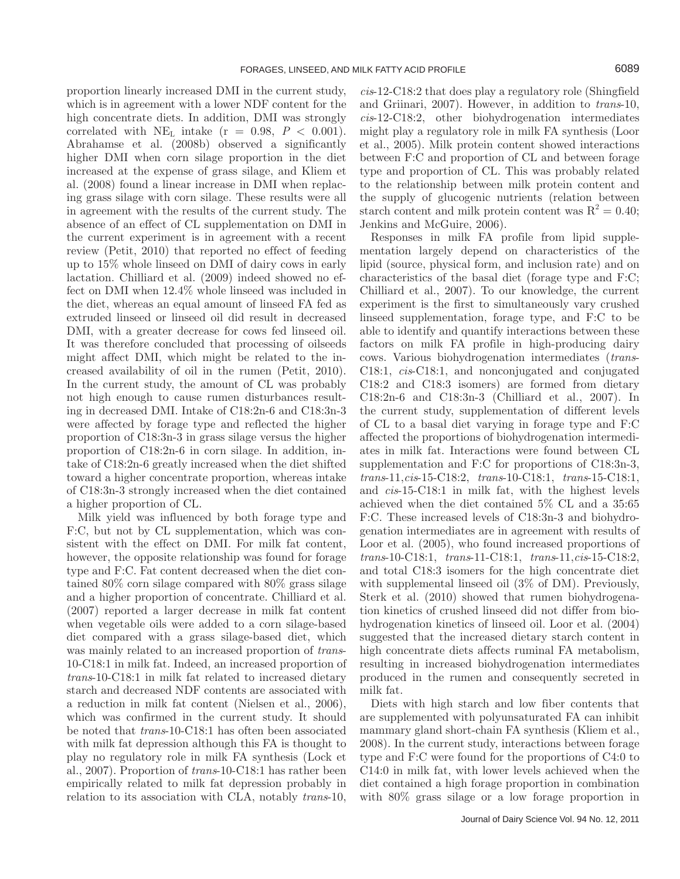proportion linearly increased DMI in the current study, which is in agreement with a lower NDF content for the high concentrate diets. In addition, DMI was strongly correlated with NE<sub>L</sub> intake  $(r = 0.98, P < 0.001)$ . Abrahamse et al. (2008b) observed a significantly higher DMI when corn silage proportion in the diet increased at the expense of grass silage, and Kliem et al. (2008) found a linear increase in DMI when replacing grass silage with corn silage. These results were all in agreement with the results of the current study. The absence of an effect of CL supplementation on DMI in the current experiment is in agreement with a recent review (Petit, 2010) that reported no effect of feeding up to 15% whole linseed on DMI of dairy cows in early lactation. Chilliard et al. (2009) indeed showed no effect on DMI when 12.4% whole linseed was included in the diet, whereas an equal amount of linseed FA fed as extruded linseed or linseed oil did result in decreased DMI, with a greater decrease for cows fed linseed oil. It was therefore concluded that processing of oilseeds might affect DMI, which might be related to the increased availability of oil in the rumen (Petit, 2010). In the current study, the amount of CL was probably not high enough to cause rumen disturbances resulting in decreased DMI. Intake of C18:2n-6 and C18:3n-3 were affected by forage type and reflected the higher proportion of C18:3n-3 in grass silage versus the higher proportion of C18:2n-6 in corn silage. In addition, intake of C18:2n-6 greatly increased when the diet shifted toward a higher concentrate proportion, whereas intake of C18:3n-3 strongly increased when the diet contained a higher proportion of CL.

Milk yield was influenced by both forage type and F:C, but not by CL supplementation, which was consistent with the effect on DMI. For milk fat content, however, the opposite relationship was found for forage type and F:C. Fat content decreased when the diet contained 80% corn silage compared with 80% grass silage and a higher proportion of concentrate. Chilliard et al. (2007) reported a larger decrease in milk fat content when vegetable oils were added to a corn silage-based diet compared with a grass silage-based diet, which was mainly related to an increased proportion of *trans*-10-C18:1 in milk fat. Indeed, an increased proportion of *trans*-10-C18:1 in milk fat related to increased dietary starch and decreased NDF contents are associated with a reduction in milk fat content (Nielsen et al., 2006), which was confirmed in the current study. It should be noted that *trans*-10-C18:1 has often been associated with milk fat depression although this FA is thought to play no regulatory role in milk FA synthesis (Lock et al., 2007). Proportion of *trans*-10-C18:1 has rather been empirically related to milk fat depression probably in relation to its association with CLA, notably *trans*-10,

*cis*-12-C18:2 that does play a regulatory role (Shingfield and Griinari, 2007). However, in addition to *trans*-10, *cis*-12-C18:2, other biohydrogenation intermediates might play a regulatory role in milk FA synthesis (Loor et al., 2005). Milk protein content showed interactions between F:C and proportion of CL and between forage type and proportion of CL. This was probably related to the relationship between milk protein content and the supply of glucogenic nutrients (relation between starch content and milk protein content was  $R^2 = 0.40$ ; Jenkins and McGuire, 2006).

Responses in milk FA profile from lipid supplementation largely depend on characteristics of the lipid (source, physical form, and inclusion rate) and on characteristics of the basal diet (forage type and F:C; Chilliard et al., 2007). To our knowledge, the current experiment is the first to simultaneously vary crushed linseed supplementation, forage type, and F:C to be able to identify and quantify interactions between these factors on milk FA profile in high-producing dairy cows. Various biohydrogenation intermediates (*trans*-C18:1, *cis*-C18:1, and nonconjugated and conjugated C18:2 and C18:3 isomers) are formed from dietary C18:2n-6 and C18:3n-3 (Chilliard et al., 2007). In the current study, supplementation of different levels of CL to a basal diet varying in forage type and F:C affected the proportions of biohydrogenation intermediates in milk fat. Interactions were found between CL supplementation and F:C for proportions of C18:3n-3, *trans*-11,*cis*-15-C18:2, *trans*-10-C18:1, *trans*-15-C18:1, and *cis*-15-C18:1 in milk fat, with the highest levels achieved when the diet contained 5% CL and a 35:65 F:C. These increased levels of C18:3n-3 and biohydrogenation intermediates are in agreement with results of Loor et al. (2005), who found increased proportions of *trans*-10-C18:1, *trans*-11-C18:1, *trans*-11,*cis*-15-C18:2, and total C18:3 isomers for the high concentrate diet with supplemental linseed oil (3% of DM). Previously, Sterk et al. (2010) showed that rumen biohydrogenation kinetics of crushed linseed did not differ from biohydrogenation kinetics of linseed oil. Loor et al. (2004) suggested that the increased dietary starch content in high concentrate diets affects ruminal FA metabolism, resulting in increased biohydrogenation intermediates produced in the rumen and consequently secreted in milk fat.

Diets with high starch and low fiber contents that are supplemented with polyunsaturated FA can inhibit mammary gland short-chain FA synthesis (Kliem et al., 2008). In the current study, interactions between forage type and F:C were found for the proportions of C4:0 to C14:0 in milk fat, with lower levels achieved when the diet contained a high forage proportion in combination with 80% grass silage or a low forage proportion in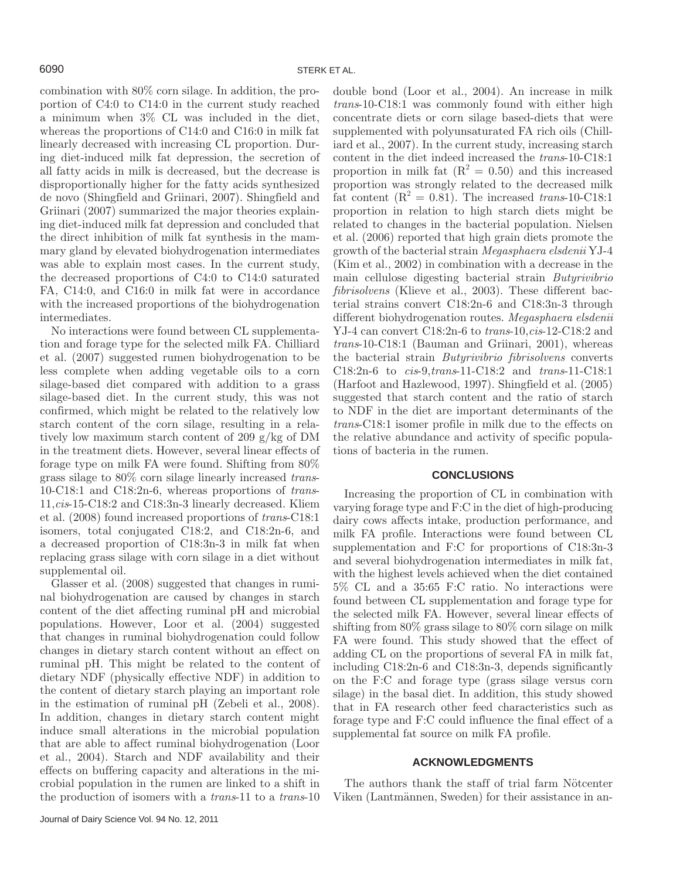combination with 80% corn silage. In addition, the proportion of C4:0 to C14:0 in the current study reached a minimum when 3% CL was included in the diet, whereas the proportions of C14:0 and C16:0 in milk fat linearly decreased with increasing CL proportion. During diet-induced milk fat depression, the secretion of all fatty acids in milk is decreased, but the decrease is disproportionally higher for the fatty acids synthesized de novo (Shingfield and Griinari, 2007). Shingfield and Griinari (2007) summarized the major theories explaining diet-induced milk fat depression and concluded that the direct inhibition of milk fat synthesis in the mammary gland by elevated biohydrogenation intermediates was able to explain most cases. In the current study, the decreased proportions of C4:0 to C14:0 saturated FA, C14:0, and C16:0 in milk fat were in accordance with the increased proportions of the biohydrogenation intermediates.

No interactions were found between CL supplementation and forage type for the selected milk FA. Chilliard et al. (2007) suggested rumen biohydrogenation to be less complete when adding vegetable oils to a corn silage-based diet compared with addition to a grass silage-based diet. In the current study, this was not confirmed, which might be related to the relatively low starch content of the corn silage, resulting in a relatively low maximum starch content of 209 g/kg of DM in the treatment diets. However, several linear effects of forage type on milk FA were found. Shifting from 80% grass silage to 80% corn silage linearly increased *trans*-10-C18:1 and C18:2n-6, whereas proportions of *trans*-11,*cis*-15-C18:2 and C18:3n-3 linearly decreased. Kliem et al. (2008) found increased proportions of *trans*-C18:1 isomers, total conjugated C18:2, and C18:2n-6, and a decreased proportion of C18:3n-3 in milk fat when replacing grass silage with corn silage in a diet without supplemental oil.

Glasser et al. (2008) suggested that changes in ruminal biohydrogenation are caused by changes in starch content of the diet affecting ruminal pH and microbial populations. However, Loor et al. (2004) suggested that changes in ruminal biohydrogenation could follow changes in dietary starch content without an effect on ruminal pH. This might be related to the content of dietary NDF (physically effective NDF) in addition to the content of dietary starch playing an important role in the estimation of ruminal pH (Zebeli et al., 2008). In addition, changes in dietary starch content might induce small alterations in the microbial population that are able to affect ruminal biohydrogenation (Loor et al., 2004). Starch and NDF availability and their effects on buffering capacity and alterations in the microbial population in the rumen are linked to a shift in the production of isomers with a *trans*-11 to a *trans*-10

double bond (Loor et al., 2004). An increase in milk *trans*-10-C18:1 was commonly found with either high concentrate diets or corn silage based-diets that were supplemented with polyunsaturated FA rich oils (Chilliard et al., 2007). In the current study, increasing starch content in the diet indeed increased the *trans*-10-C18:1 proportion in milk fat  $(R^2 = 0.50)$  and this increased proportion was strongly related to the decreased milk fat content  $(R^2 = 0.81)$ . The increased *trans*-10-C18:1 proportion in relation to high starch diets might be related to changes in the bacterial population. Nielsen et al. (2006) reported that high grain diets promote the growth of the bacterial strain *Megasphaera elsdenii* YJ-4 (Kim et al., 2002) in combination with a decrease in the main cellulose digesting bacterial strain *Butyrivibrio fibrisolvens* (Klieve et al., 2003). These different bacterial strains convert C18:2n-6 and C18:3n-3 through different biohydrogenation routes. *Megasphaera elsdenii* YJ-4 can convert C18:2n-6 to *trans*-10,*cis*-12-C18:2 and *trans*-10-C18:1 (Bauman and Griinari, 2001), whereas the bacterial strain *Butyrivibrio fibrisolvens* converts C18:2n-6 to *cis*-9,*trans*-11-C18:2 and *trans*-11-C18:1 (Harfoot and Hazlewood, 1997). Shingfield et al. (2005) suggested that starch content and the ratio of starch to NDF in the diet are important determinants of the *trans*-C18:1 isomer profile in milk due to the effects on the relative abundance and activity of specific populations of bacteria in the rumen.

### **CONCLUSIONS**

Increasing the proportion of CL in combination with varying forage type and F:C in the diet of high-producing dairy cows affects intake, production performance, and milk FA profile. Interactions were found between CL supplementation and F:C for proportions of C18:3n-3 and several biohydrogenation intermediates in milk fat, with the highest levels achieved when the diet contained 5% CL and a 35:65 F:C ratio. No interactions were found between CL supplementation and forage type for the selected milk FA. However, several linear effects of shifting from 80% grass silage to 80% corn silage on milk FA were found. This study showed that the effect of adding CL on the proportions of several FA in milk fat, including C18:2n-6 and C18:3n-3, depends significantly on the F:C and forage type (grass silage versus corn silage) in the basal diet. In addition, this study showed that in FA research other feed characteristics such as forage type and F:C could influence the final effect of a supplemental fat source on milk FA profile.

# **ACKNOWLEDGMENTS**

The authors thank the staff of trial farm Nötcenter Viken (Lantmännen, Sweden) for their assistance in an